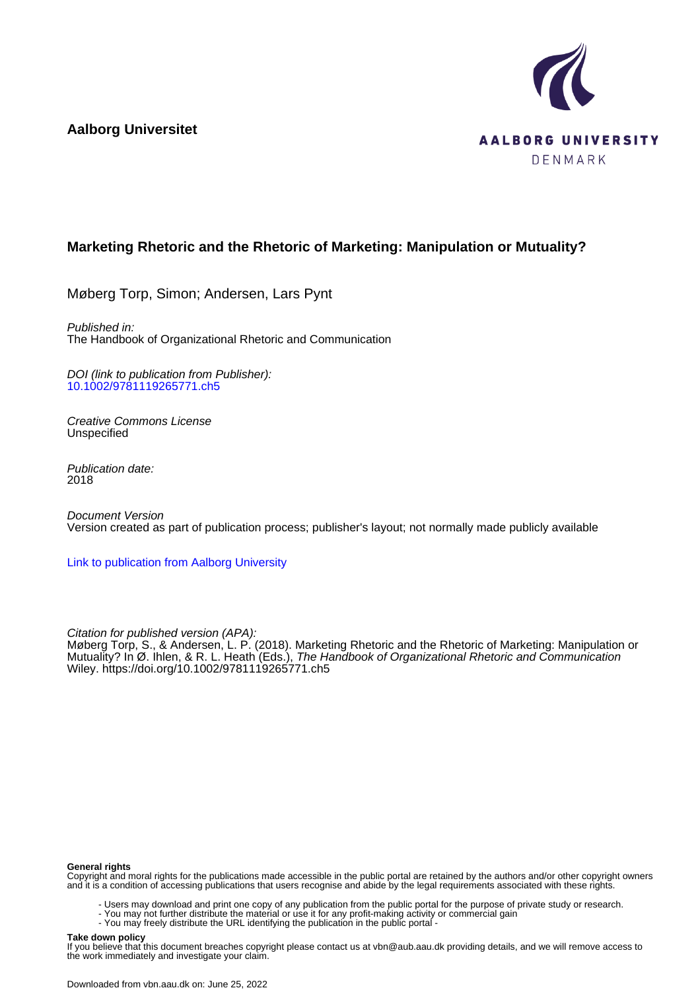**Aalborg Universitet**



## **Marketing Rhetoric and the Rhetoric of Marketing: Manipulation or Mutuality?**

Møberg Torp, Simon; Andersen, Lars Pynt

Published in: The Handbook of Organizational Rhetoric and Communication

DOI (link to publication from Publisher): [10.1002/9781119265771.ch5](https://doi.org/10.1002/9781119265771.ch5)

Creative Commons License Unspecified

Publication date: 2018

Document Version Version created as part of publication process; publisher's layout; not normally made publicly available

[Link to publication from Aalborg University](https://vbn.aau.dk/en/publications/4d5a05f3-4ba0-463c-b0a8-0ec6cc627b62)

Citation for published version (APA):

Møberg Torp, S., & Andersen, L. P. (2018). Marketing Rhetoric and the Rhetoric of Marketing: Manipulation or Mutuality? In Ø. Ihlen, & R. L. Heath (Eds.), The Handbook of Organizational Rhetoric and Communication Wiley. <https://doi.org/10.1002/9781119265771.ch5>

#### **General rights**

Copyright and moral rights for the publications made accessible in the public portal are retained by the authors and/or other copyright owners and it is a condition of accessing publications that users recognise and abide by the legal requirements associated with these rights.

- Users may download and print one copy of any publication from the public portal for the purpose of private study or research.
- You may not further distribute the material or use it for any profit-making activity or commercial gain
	- You may freely distribute the URL identifying the publication in the public portal -

#### **Take down policy**

If you believe that this document breaches copyright please contact us at vbn@aub.aau.dk providing details, and we will remove access to the work immediately and investigate your claim.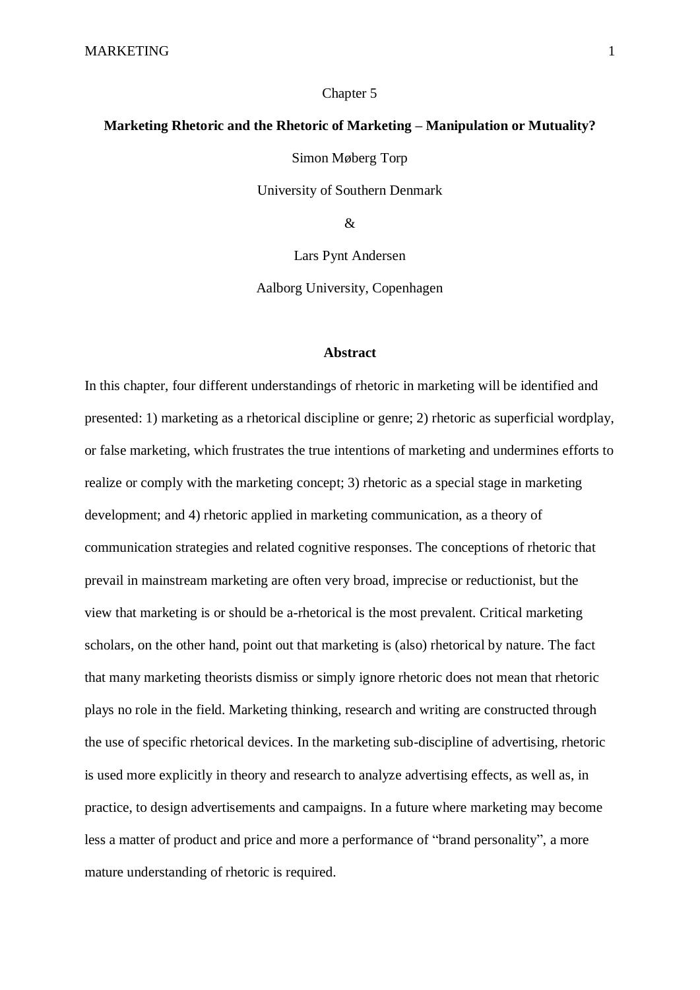#### Chapter 5

# **Marketing Rhetoric and the Rhetoric of Marketing – Manipulation or Mutuality?**

Simon Møberg Torp

University of Southern Denmark

&

Lars Pynt Andersen

Aalborg University, Copenhagen

#### **Abstract**

In this chapter, four different understandings of rhetoric in marketing will be identified and presented: 1) marketing as a rhetorical discipline or genre; 2) rhetoric as superficial wordplay, or false marketing, which frustrates the true intentions of marketing and undermines efforts to realize or comply with the marketing concept; 3) rhetoric as a special stage in marketing development; and 4) rhetoric applied in marketing communication, as a theory of communication strategies and related cognitive responses. The conceptions of rhetoric that prevail in mainstream marketing are often very broad, imprecise or reductionist, but the view that marketing is or should be a-rhetorical is the most prevalent. Critical marketing scholars, on the other hand, point out that marketing is (also) rhetorical by nature. The fact that many marketing theorists dismiss or simply ignore rhetoric does not mean that rhetoric plays no role in the field. Marketing thinking, research and writing are constructed through the use of specific rhetorical devices. In the marketing sub-discipline of advertising, rhetoric is used more explicitly in theory and research to analyze advertising effects, as well as, in practice, to design advertisements and campaigns. In a future where marketing may become less a matter of product and price and more a performance of "brand personality", a more mature understanding of rhetoric is required.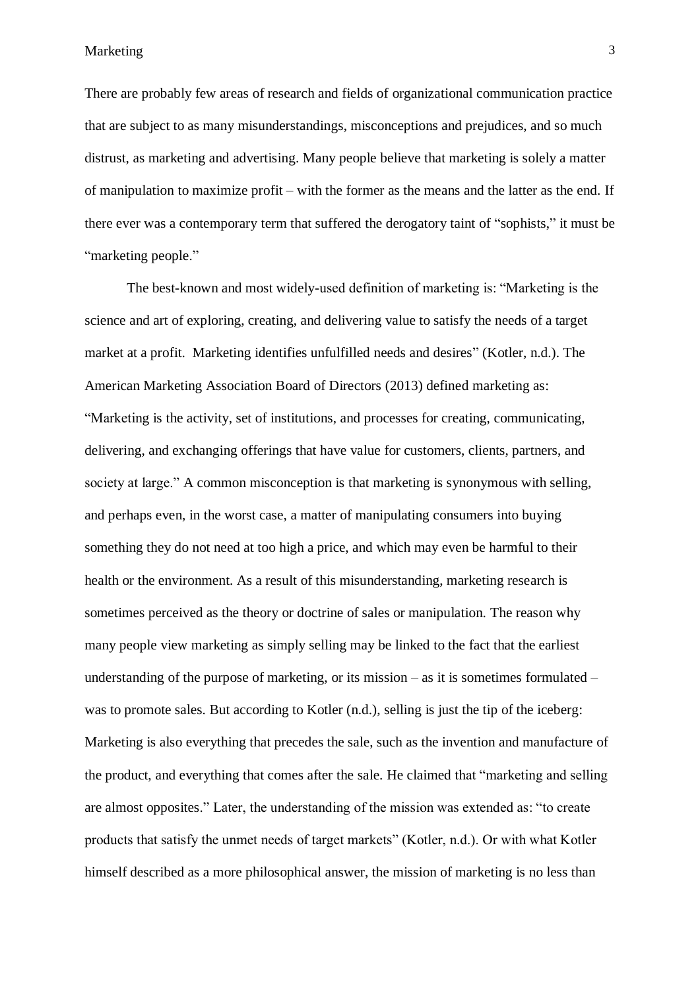There are probably few areas of research and fields of organizational communication practice that are subject to as many misunderstandings, misconceptions and prejudices, and so much distrust, as marketing and advertising. Many people believe that marketing is solely a matter of manipulation to maximize profit – with the former as the means and the latter as the end. If there ever was a contemporary term that suffered the derogatory taint of "sophists," it must be "marketing people."

The best-known and most widely-used definition of marketing is: "Marketing is the science and art of exploring, creating, and delivering value to satisfy the needs of a target market at a profit. Marketing identifies unfulfilled needs and desires" (Kotler, n.d.). The American Marketing Association Board of Directors (2013) defined marketing as: "Marketing is the activity, set of institutions, and processes for creating, communicating, delivering, and exchanging offerings that have value for customers, clients, partners, and society at large." A common misconception is that marketing is synonymous with selling, and perhaps even, in the worst case, a matter of manipulating consumers into buying something they do not need at too high a price, and which may even be harmful to their health or the environment. As a result of this misunderstanding, marketing research is sometimes perceived as the theory or doctrine of sales or manipulation. The reason why many people view marketing as simply selling may be linked to the fact that the earliest understanding of the purpose of marketing, or its mission – as it is sometimes formulated – was to promote sales. But according to Kotler (n.d.), selling is just the tip of the iceberg: Marketing is also everything that precedes the sale, such as the invention and manufacture of the product, and everything that comes after the sale. He claimed that "marketing and selling are almost opposites." Later, the understanding of the mission was extended as: "to create products that satisfy the unmet needs of target markets" (Kotler, n.d.). Or with what Kotler himself described as a more philosophical answer, the mission of marketing is no less than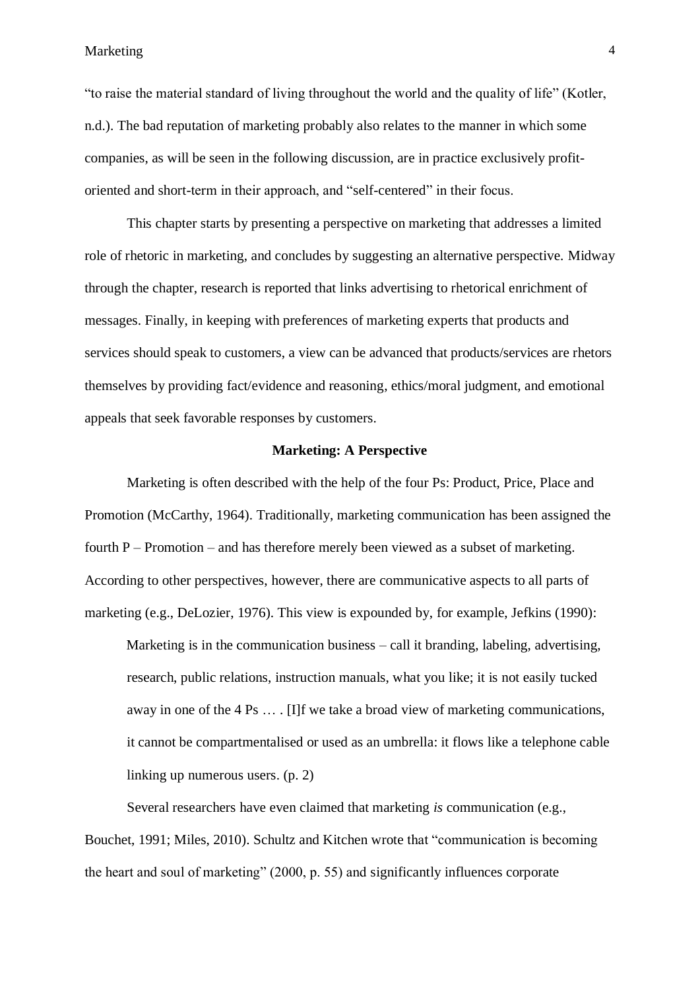"to raise the material standard of living throughout the world and the quality of life" (Kotler, n.d.). The bad reputation of marketing probably also relates to the manner in which some companies, as will be seen in the following discussion, are in practice exclusively profitoriented and short-term in their approach, and "self-centered" in their focus.

This chapter starts by presenting a perspective on marketing that addresses a limited role of rhetoric in marketing, and concludes by suggesting an alternative perspective. Midway through the chapter, research is reported that links advertising to rhetorical enrichment of messages. Finally, in keeping with preferences of marketing experts that products and services should speak to customers, a view can be advanced that products/services are rhetors themselves by providing fact/evidence and reasoning, ethics/moral judgment, and emotional appeals that seek favorable responses by customers.

#### **Marketing: A Perspective**

Marketing is often described with the help of the four Ps: Product, Price, Place and Promotion (McCarthy, 1964). Traditionally, marketing communication has been assigned the fourth  $P - P$ romotion – and has therefore merely been viewed as a subset of marketing. According to other perspectives, however, there are communicative aspects to all parts of marketing (e.g., DeLozier, 1976). This view is expounded by, for example, Jefkins (1990):

Marketing is in the communication business – call it branding, labeling, advertising, research, public relations, instruction manuals, what you like; it is not easily tucked away in one of the 4 Ps … . [I]f we take a broad view of marketing communications, it cannot be compartmentalised or used as an umbrella: it flows like a telephone cable linking up numerous users. (p. 2)

Several researchers have even claimed that marketing *is* communication (e.g., Bouchet, 1991; Miles, 2010). Schultz and Kitchen wrote that "communication is becoming the heart and soul of marketing" (2000, p. 55) and significantly influences corporate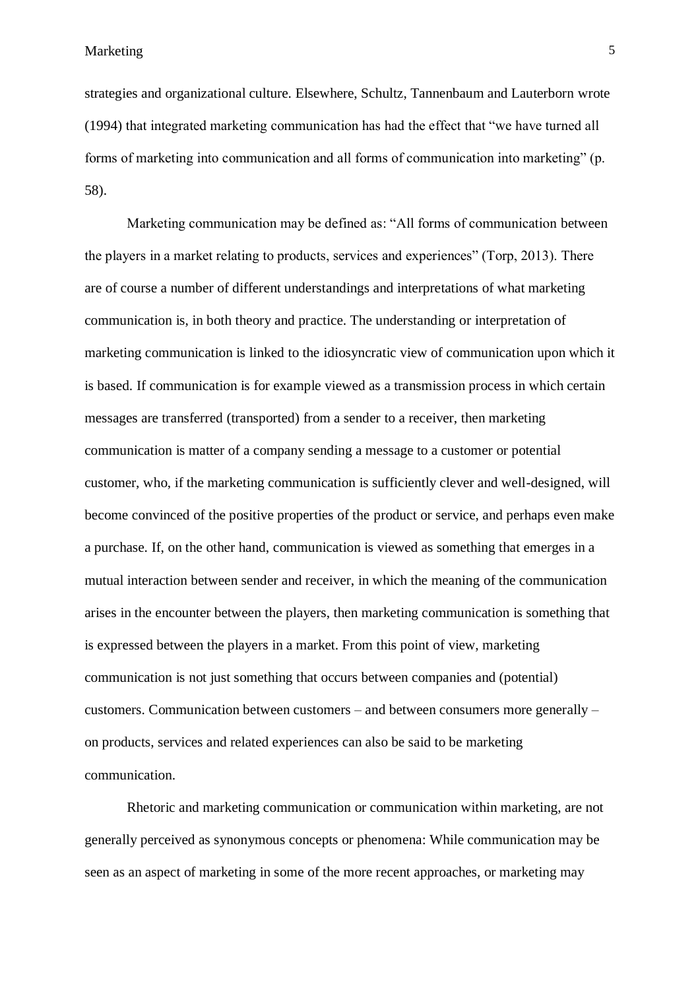strategies and organizational culture. Elsewhere, Schultz, Tannenbaum and Lauterborn wrote (1994) that integrated marketing communication has had the effect that "we have turned all forms of marketing into communication and all forms of communication into marketing" (p. 58).

Marketing communication may be defined as: "All forms of communication between the players in a market relating to products, services and experiences" (Torp, 2013). There are of course a number of different understandings and interpretations of what marketing communication is, in both theory and practice. The understanding or interpretation of marketing communication is linked to the idiosyncratic view of communication upon which it is based. If communication is for example viewed as a transmission process in which certain messages are transferred (transported) from a sender to a receiver, then marketing communication is matter of a company sending a message to a customer or potential customer, who, if the marketing communication is sufficiently clever and well-designed, will become convinced of the positive properties of the product or service, and perhaps even make a purchase. If, on the other hand, communication is viewed as something that emerges in a mutual interaction between sender and receiver, in which the meaning of the communication arises in the encounter between the players, then marketing communication is something that is expressed between the players in a market. From this point of view, marketing communication is not just something that occurs between companies and (potential) customers. Communication between customers – and between consumers more generally – on products, services and related experiences can also be said to be marketing communication.

Rhetoric and marketing communication or communication within marketing, are not generally perceived as synonymous concepts or phenomena: While communication may be seen as an aspect of marketing in some of the more recent approaches, or marketing may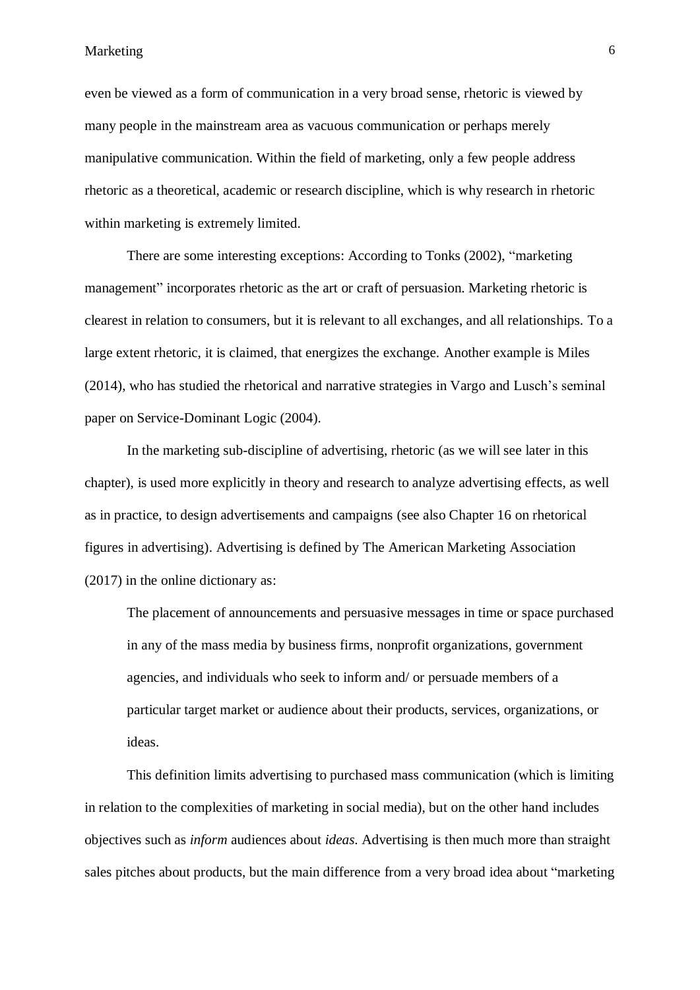even be viewed as a form of communication in a very broad sense, rhetoric is viewed by many people in the mainstream area as vacuous communication or perhaps merely manipulative communication. Within the field of marketing, only a few people address rhetoric as a theoretical, academic or research discipline, which is why research in rhetoric within marketing is extremely limited.

There are some interesting exceptions: According to Tonks (2002), "marketing management" incorporates rhetoric as the art or craft of persuasion. Marketing rhetoric is clearest in relation to consumers, but it is relevant to all exchanges, and all relationships. To a large extent rhetoric, it is claimed, that energizes the exchange. Another example is Miles (2014), who has studied the rhetorical and narrative strategies in Vargo and Lusch's seminal paper on Service-Dominant Logic (2004).

In the marketing sub-discipline of advertising, rhetoric (as we will see later in this chapter), is used more explicitly in theory and research to analyze advertising effects, as well as in practice, to design advertisements and campaigns (see also Chapter 16 on rhetorical figures in advertising). Advertising is defined by The American Marketing Association (2017) in the online dictionary as:

The placement of announcements and persuasive messages in time or space purchased in any of the mass media by business firms, nonprofit organizations, government agencies, and individuals who seek to inform and/ or persuade members of a particular target market or audience about their products, services, organizations, or ideas.

This definition limits advertising to purchased mass communication (which is limiting in relation to the complexities of marketing in social media), but on the other hand includes objectives such as *inform* audiences about *ideas.* Advertising is then much more than straight sales pitches about products, but the main difference from a very broad idea about "marketing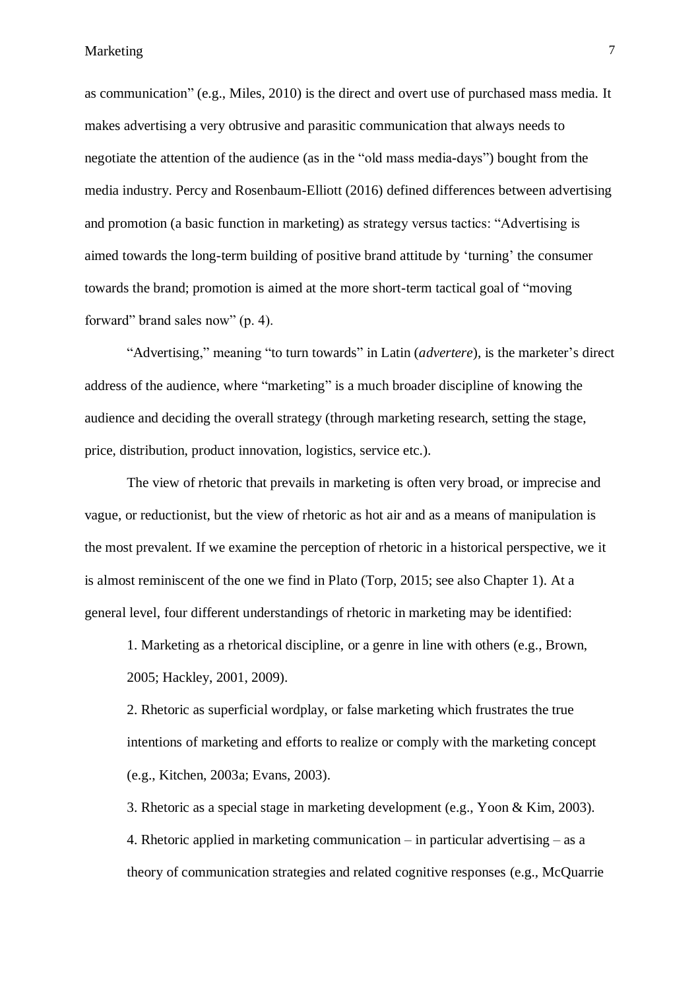as communication" (e.g., Miles, 2010) is the direct and overt use of purchased mass media. It makes advertising a very obtrusive and parasitic communication that always needs to negotiate the attention of the audience (as in the "old mass media-days") bought from the media industry. Percy and Rosenbaum-Elliott (2016) defined differences between advertising and promotion (a basic function in marketing) as strategy versus tactics: "Advertising is aimed towards the long-term building of positive brand attitude by 'turning' the consumer towards the brand; promotion is aimed at the more short-term tactical goal of "moving forward" brand sales now" (p. 4).

"Advertising," meaning "to turn towards" in Latin (*advertere*), is the marketer's direct address of the audience, where "marketing" is a much broader discipline of knowing the audience and deciding the overall strategy (through marketing research, setting the stage, price, distribution, product innovation, logistics, service etc.).

The view of rhetoric that prevails in marketing is often very broad, or imprecise and vague, or reductionist, but the view of rhetoric as hot air and as a means of manipulation is the most prevalent. If we examine the perception of rhetoric in a historical perspective, we it is almost reminiscent of the one we find in Plato (Torp, 2015; see also Chapter 1). At a general level, four different understandings of rhetoric in marketing may be identified:

1. Marketing as a rhetorical discipline, or a genre in line with others (e.g., Brown, 2005; Hackley, 2001, 2009).

2. Rhetoric as superficial wordplay, or false marketing which frustrates the true intentions of marketing and efforts to realize or comply with the marketing concept (e.g., Kitchen, 2003a; Evans, 2003).

3. Rhetoric as a special stage in marketing development (e.g., Yoon & Kim, 2003). 4. Rhetoric applied in marketing communication – in particular advertising – as a theory of communication strategies and related cognitive responses (e.g., McQuarrie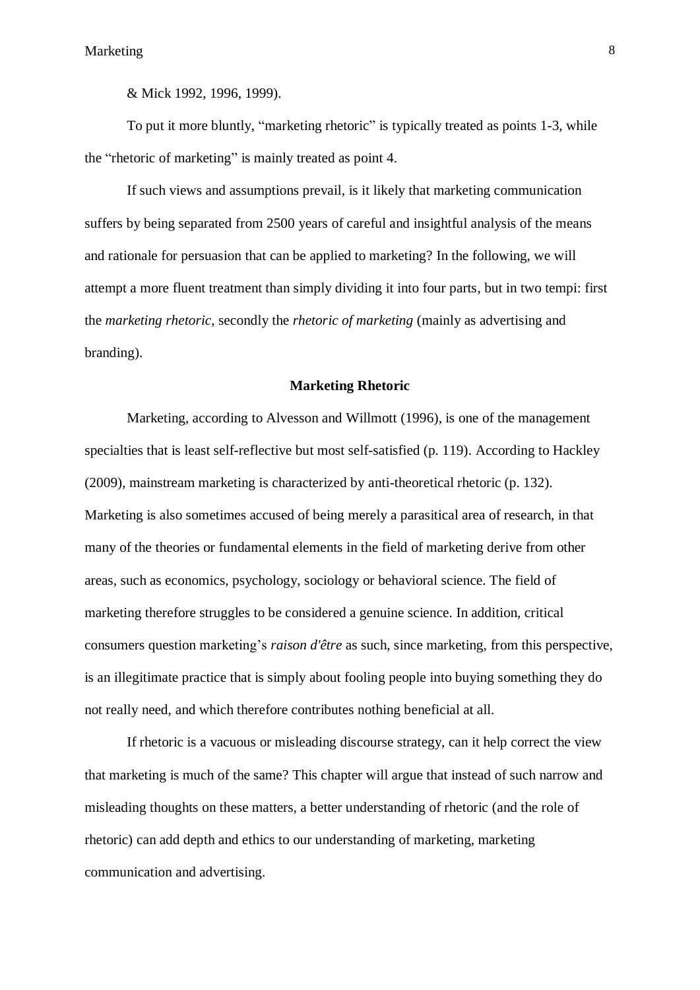& Mick 1992, 1996, 1999).

To put it more bluntly, "marketing rhetoric" is typically treated as points 1-3, while the "rhetoric of marketing" is mainly treated as point 4.

If such views and assumptions prevail, is it likely that marketing communication suffers by being separated from 2500 years of careful and insightful analysis of the means and rationale for persuasion that can be applied to marketing? In the following, we will attempt a more fluent treatment than simply dividing it into four parts, but in two tempi: first the *marketing rhetoric*, secondly the *rhetoric of marketing* (mainly as advertising and branding).

### **Marketing Rhetoric**

Marketing, according to Alvesson and Willmott (1996), is one of the management specialties that is least self-reflective but most self-satisfied (p. 119). According to Hackley (2009), mainstream marketing is characterized by anti-theoretical rhetoric (p. 132). Marketing is also sometimes accused of being merely a parasitical area of research, in that many of the theories or fundamental elements in the field of marketing derive from other areas, such as economics, psychology, sociology or behavioral science. The field of marketing therefore struggles to be considered a genuine science. In addition, critical consumers question marketing's *raison d'être* as such, since marketing, from this perspective, is an illegitimate practice that is simply about fooling people into buying something they do not really need, and which therefore contributes nothing beneficial at all.

If rhetoric is a vacuous or misleading discourse strategy, can it help correct the view that marketing is much of the same? This chapter will argue that instead of such narrow and misleading thoughts on these matters, a better understanding of rhetoric (and the role of rhetoric) can add depth and ethics to our understanding of marketing, marketing communication and advertising.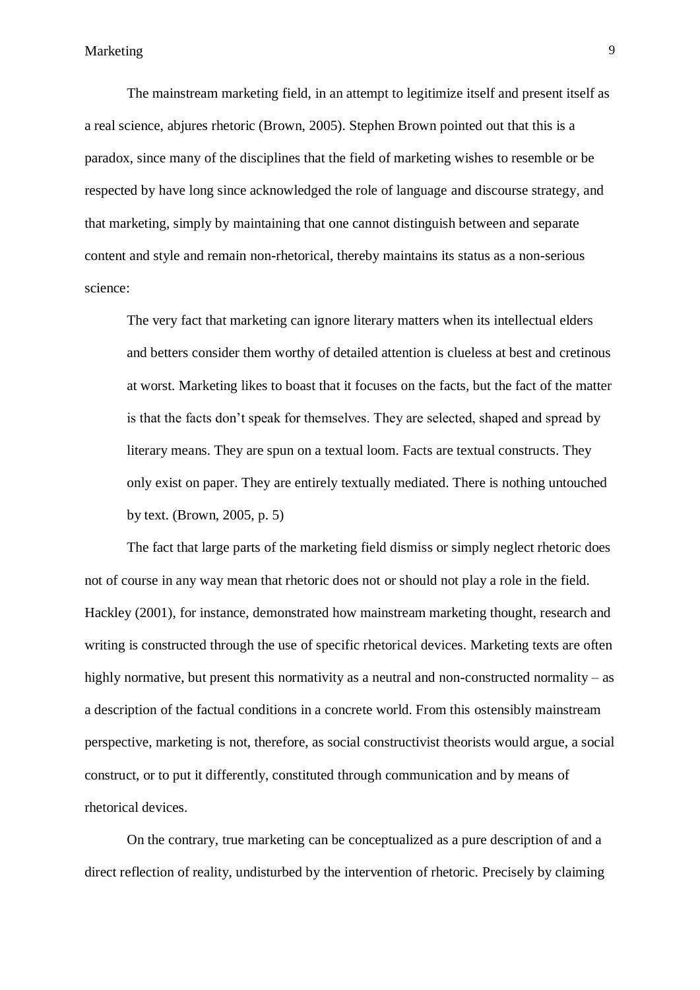The mainstream marketing field, in an attempt to legitimize itself and present itself as a real science, abjures rhetoric (Brown, 2005). Stephen Brown pointed out that this is a paradox, since many of the disciplines that the field of marketing wishes to resemble or be respected by have long since acknowledged the role of language and discourse strategy, and that marketing, simply by maintaining that one cannot distinguish between and separate content and style and remain non-rhetorical, thereby maintains its status as a non-serious science:

The very fact that marketing can ignore literary matters when its intellectual elders and betters consider them worthy of detailed attention is clueless at best and cretinous at worst. Marketing likes to boast that it focuses on the facts, but the fact of the matter is that the facts don't speak for themselves. They are selected, shaped and spread by literary means. They are spun on a textual loom. Facts are textual constructs. They only exist on paper. They are entirely textually mediated. There is nothing untouched by text. (Brown, 2005, p. 5)

The fact that large parts of the marketing field dismiss or simply neglect rhetoric does not of course in any way mean that rhetoric does not or should not play a role in the field. Hackley (2001), for instance, demonstrated how mainstream marketing thought, research and writing is constructed through the use of specific rhetorical devices. Marketing texts are often highly normative, but present this normativity as a neutral and non-constructed normality – as a description of the factual conditions in a concrete world. From this ostensibly mainstream perspective, marketing is not, therefore, as social constructivist theorists would argue, a social construct, or to put it differently, constituted through communication and by means of rhetorical devices.

On the contrary, true marketing can be conceptualized as a pure description of and a direct reflection of reality, undisturbed by the intervention of rhetoric. Precisely by claiming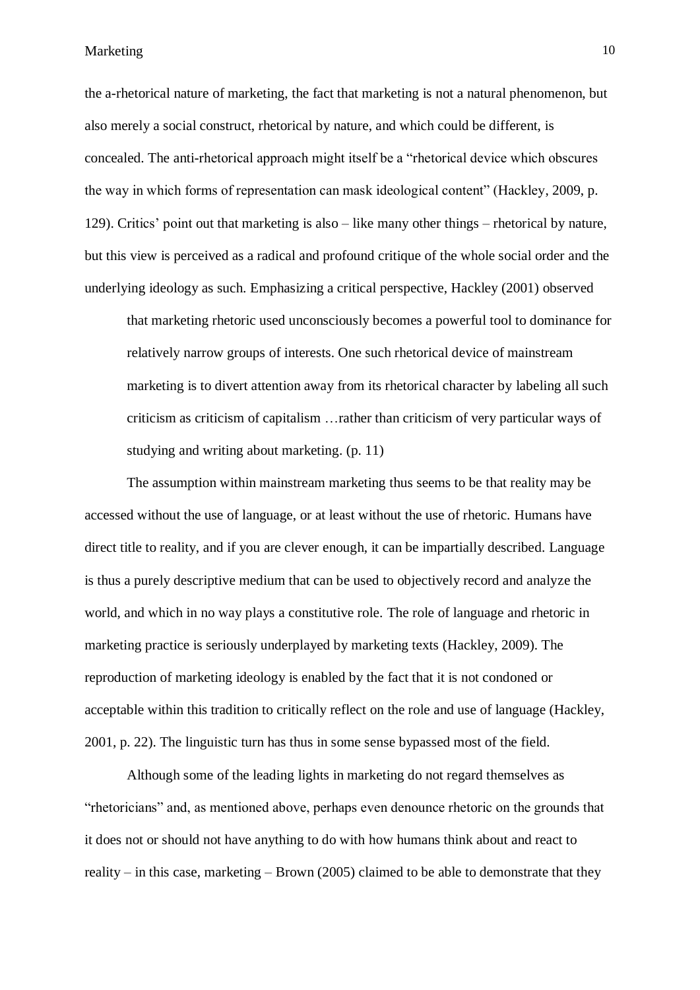the a-rhetorical nature of marketing, the fact that marketing is not a natural phenomenon, but also merely a social construct, rhetorical by nature, and which could be different, is concealed. The anti-rhetorical approach might itself be a "rhetorical device which obscures the way in which forms of representation can mask ideological content" (Hackley, 2009, p. 129). Critics' point out that marketing is also – like many other things – rhetorical by nature, but this view is perceived as a radical and profound critique of the whole social order and the underlying ideology as such. Emphasizing a critical perspective, Hackley (2001) observed

that marketing rhetoric used unconsciously becomes a powerful tool to dominance for relatively narrow groups of interests. One such rhetorical device of mainstream marketing is to divert attention away from its rhetorical character by labeling all such criticism as criticism of capitalism …rather than criticism of very particular ways of studying and writing about marketing. (p. 11)

The assumption within mainstream marketing thus seems to be that reality may be accessed without the use of language, or at least without the use of rhetoric. Humans have direct title to reality, and if you are clever enough, it can be impartially described. Language is thus a purely descriptive medium that can be used to objectively record and analyze the world, and which in no way plays a constitutive role. The role of language and rhetoric in marketing practice is seriously underplayed by marketing texts (Hackley, 2009). The reproduction of marketing ideology is enabled by the fact that it is not condoned or acceptable within this tradition to critically reflect on the role and use of language (Hackley, 2001, p. 22). The linguistic turn has thus in some sense bypassed most of the field.

Although some of the leading lights in marketing do not regard themselves as "rhetoricians" and, as mentioned above, perhaps even denounce rhetoric on the grounds that it does not or should not have anything to do with how humans think about and react to reality – in this case, marketing – Brown (2005) claimed to be able to demonstrate that they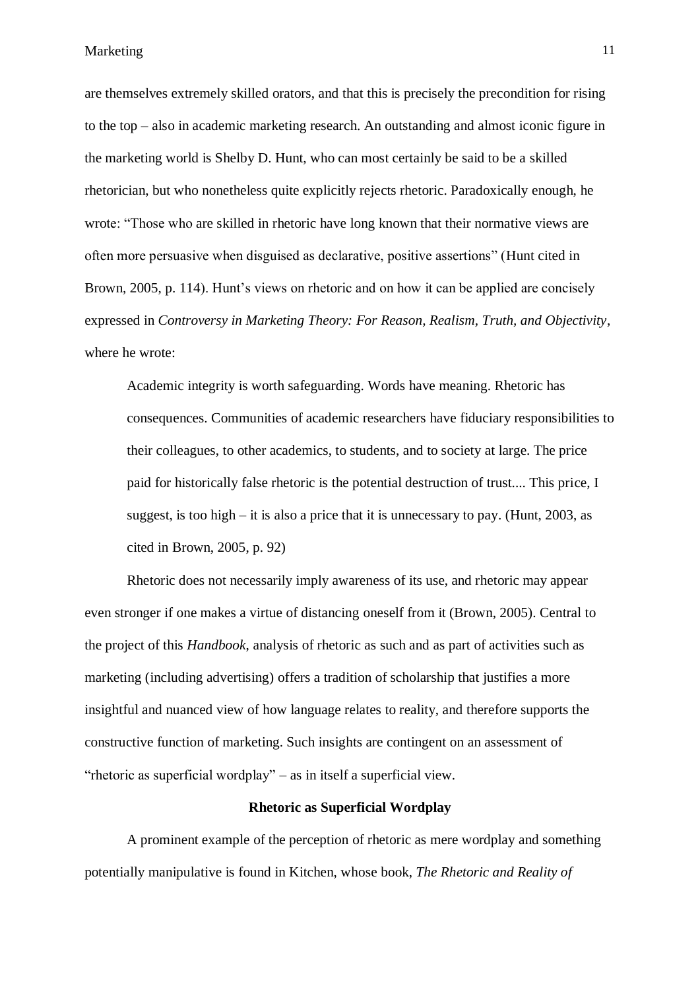are themselves extremely skilled orators, and that this is precisely the precondition for rising to the top – also in academic marketing research. An outstanding and almost iconic figure in the marketing world is Shelby D. Hunt, who can most certainly be said to be a skilled rhetorician, but who nonetheless quite explicitly rejects rhetoric. Paradoxically enough, he wrote: "Those who are skilled in rhetoric have long known that their normative views are often more persuasive when disguised as declarative, positive assertions" (Hunt cited in Brown, 2005, p. 114). Hunt's views on rhetoric and on how it can be applied are concisely expressed in *Controversy in Marketing Theory: For Reason, Realism, Truth, and Objectivity*, where he wrote:

Academic integrity is worth safeguarding. Words have meaning. Rhetoric has consequences. Communities of academic researchers have fiduciary responsibilities to their colleagues, to other academics, to students, and to society at large. The price paid for historically false rhetoric is the potential destruction of trust.... This price, I suggest, is too high – it is also a price that it is unnecessary to pay. (Hunt, 2003, as cited in Brown, 2005, p. 92)

Rhetoric does not necessarily imply awareness of its use, and rhetoric may appear even stronger if one makes a virtue of distancing oneself from it (Brown, 2005). Central to the project of this *Handbook*, analysis of rhetoric as such and as part of activities such as marketing (including advertising) offers a tradition of scholarship that justifies a more insightful and nuanced view of how language relates to reality, and therefore supports the constructive function of marketing. Such insights are contingent on an assessment of "rhetoric as superficial wordplay" – as in itself a superficial view.

### **Rhetoric as Superficial Wordplay**

A prominent example of the perception of rhetoric as mere wordplay and something potentially manipulative is found in Kitchen, whose book, *The Rhetoric and Reality of*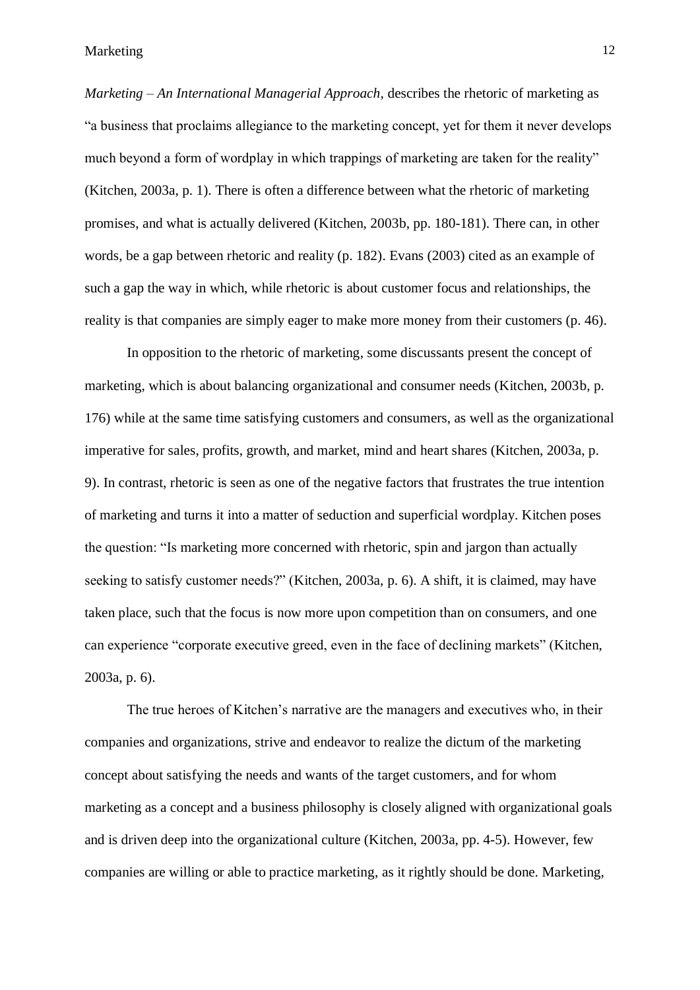*Marketing – An International Managerial Approach*, describes the rhetoric of marketing as "a business that proclaims allegiance to the marketing concept, yet for them it never develops much beyond a form of wordplay in which trappings of marketing are taken for the reality" (Kitchen, 2003a, p. 1). There is often a difference between what the rhetoric of marketing promises, and what is actually delivered (Kitchen, 2003b, pp. 180-181). There can, in other words, be a gap between rhetoric and reality (p. 182). Evans (2003) cited as an example of such a gap the way in which, while rhetoric is about customer focus and relationships, the reality is that companies are simply eager to make more money from their customers (p. 46).

In opposition to the rhetoric of marketing, some discussants present the concept of marketing, which is about balancing organizational and consumer needs (Kitchen, 2003b, p. 176) while at the same time satisfying customers and consumers, as well as the organizational imperative for sales, profits, growth, and market, mind and heart shares (Kitchen, 2003a, p. 9). In contrast, rhetoric is seen as one of the negative factors that frustrates the true intention of marketing and turns it into a matter of seduction and superficial wordplay. Kitchen poses the question: "Is marketing more concerned with rhetoric, spin and jargon than actually seeking to satisfy customer needs?" (Kitchen, 2003a, p. 6). A shift, it is claimed, may have taken place, such that the focus is now more upon competition than on consumers, and one can experience "corporate executive greed, even in the face of declining markets" (Kitchen, 2003a, p. 6).

The true heroes of Kitchen's narrative are the managers and executives who, in their companies and organizations, strive and endeavor to realize the dictum of the marketing concept about satisfying the needs and wants of the target customers, and for whom marketing as a concept and a business philosophy is closely aligned with organizational goals and is driven deep into the organizational culture (Kitchen, 2003a, pp. 4-5). However, few companies are willing or able to practice marketing, as it rightly should be done. Marketing,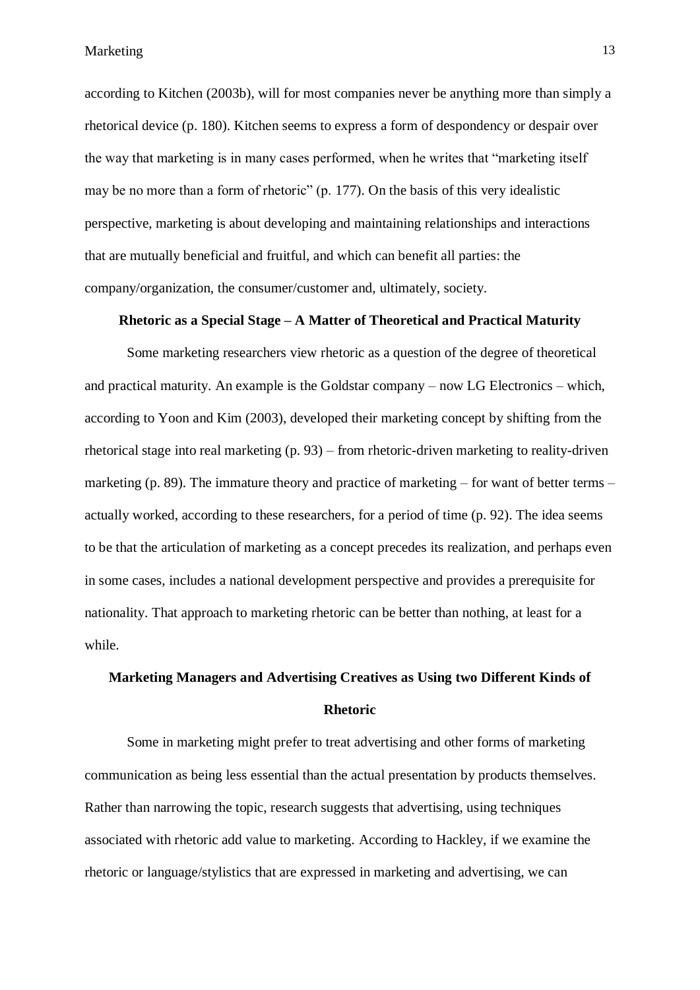according to Kitchen (2003b), will for most companies never be anything more than simply a rhetorical device (p. 180). Kitchen seems to express a form of despondency or despair over the way that marketing is in many cases performed, when he writes that "marketing itself may be no more than a form of rhetoric" (p. 177). On the basis of this very idealistic perspective, marketing is about developing and maintaining relationships and interactions that are mutually beneficial and fruitful, and which can benefit all parties: the company/organization, the consumer/customer and, ultimately, society.

#### **Rhetoric as a Special Stage – A Matter of Theoretical and Practical Maturity**

Some marketing researchers view rhetoric as a question of the degree of theoretical and practical maturity. An example is the Goldstar company – now LG Electronics – which, according to Yoon and Kim (2003), developed their marketing concept by shifting from the rhetorical stage into real marketing (p. 93) – from rhetoric-driven marketing to reality-driven marketing (p. 89). The immature theory and practice of marketing – for want of better terms – actually worked, according to these researchers, for a period of time (p. 92). The idea seems to be that the articulation of marketing as a concept precedes its realization, and perhaps even in some cases, includes a national development perspective and provides a prerequisite for nationality. That approach to marketing rhetoric can be better than nothing, at least for a while.

## **Marketing Managers and Advertising Creatives as Using two Different Kinds of Rhetoric**

Some in marketing might prefer to treat advertising and other forms of marketing communication as being less essential than the actual presentation by products themselves. Rather than narrowing the topic, research suggests that advertising, using techniques associated with rhetoric add value to marketing. According to Hackley, if we examine the rhetoric or language/stylistics that are expressed in marketing and advertising, we can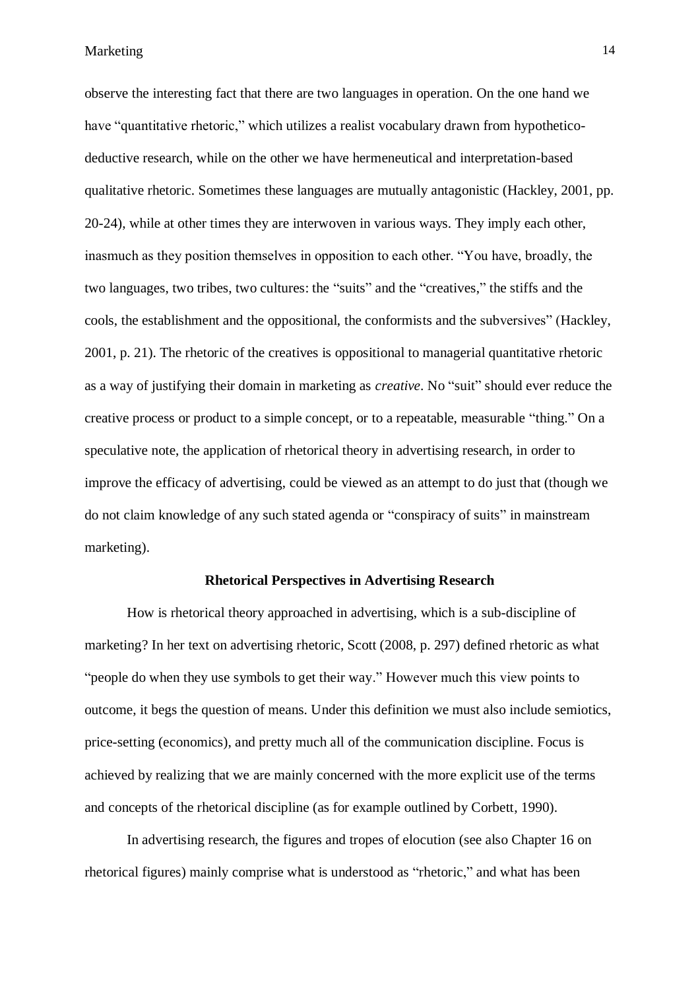observe the interesting fact that there are two languages in operation. On the one hand we have "quantitative rhetoric," which utilizes a realist vocabulary drawn from hypotheticodeductive research, while on the other we have hermeneutical and interpretation-based qualitative rhetoric. Sometimes these languages are mutually antagonistic (Hackley, 2001, pp. 20-24), while at other times they are interwoven in various ways. They imply each other, inasmuch as they position themselves in opposition to each other. "You have, broadly, the two languages, two tribes, two cultures: the "suits" and the "creatives," the stiffs and the cools, the establishment and the oppositional, the conformists and the subversives" (Hackley, 2001, p. 21). The rhetoric of the creatives is oppositional to managerial quantitative rhetoric as a way of justifying their domain in marketing as *creative*. No "suit" should ever reduce the creative process or product to a simple concept, or to a repeatable, measurable "thing." On a speculative note, the application of rhetorical theory in advertising research, in order to improve the efficacy of advertising, could be viewed as an attempt to do just that (though we do not claim knowledge of any such stated agenda or "conspiracy of suits" in mainstream marketing).

#### **Rhetorical Perspectives in Advertising Research**

How is rhetorical theory approached in advertising, which is a sub-discipline of marketing? In her text on advertising rhetoric, Scott (2008, p. 297) defined rhetoric as what "people do when they use symbols to get their way." However much this view points to outcome, it begs the question of means. Under this definition we must also include semiotics, price-setting (economics), and pretty much all of the communication discipline. Focus is achieved by realizing that we are mainly concerned with the more explicit use of the terms and concepts of the rhetorical discipline (as for example outlined by Corbett, 1990).

In advertising research, the figures and tropes of elocution (see also Chapter 16 on rhetorical figures) mainly comprise what is understood as "rhetoric," and what has been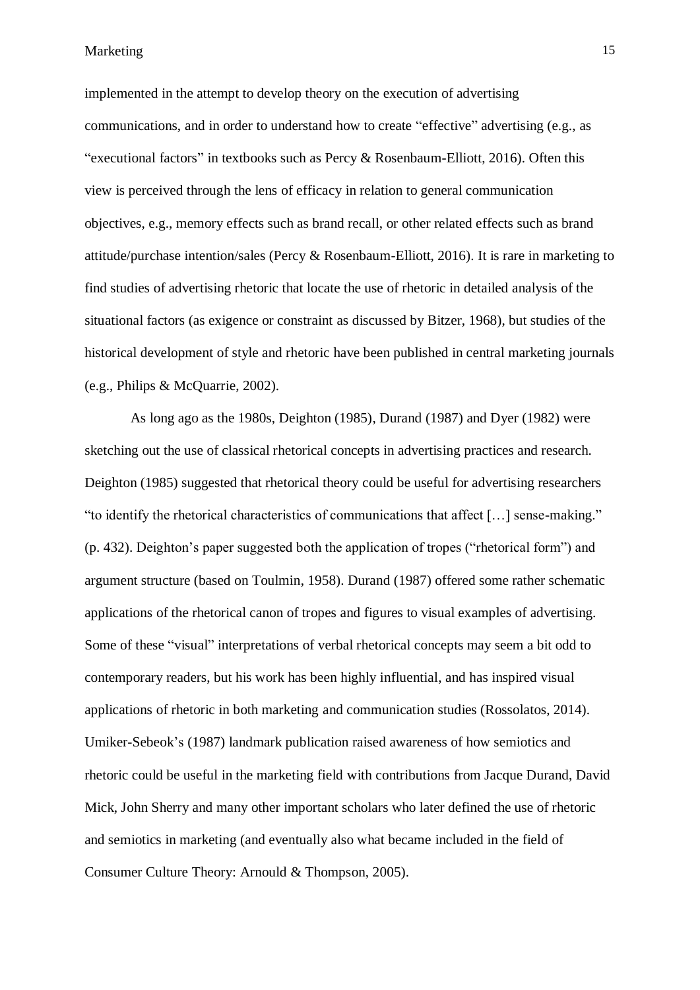implemented in the attempt to develop theory on the execution of advertising communications, and in order to understand how to create "effective" advertising (e.g., as "executional factors" in textbooks such as Percy & Rosenbaum-Elliott, 2016). Often this view is perceived through the lens of efficacy in relation to general communication objectives, e.g., memory effects such as brand recall, or other related effects such as brand attitude/purchase intention/sales (Percy & Rosenbaum-Elliott, 2016). It is rare in marketing to find studies of advertising rhetoric that locate the use of rhetoric in detailed analysis of the situational factors (as exigence or constraint as discussed by Bitzer, 1968), but studies of the historical development of style and rhetoric have been published in central marketing journals (e.g., Philips & McQuarrie, 2002).

As long ago as the 1980s, Deighton (1985), Durand (1987) and Dyer (1982) were sketching out the use of classical rhetorical concepts in advertising practices and research. Deighton (1985) suggested that rhetorical theory could be useful for advertising researchers "to identify the rhetorical characteristics of communications that affect […] sense-making." (p. 432). Deighton's paper suggested both the application of tropes ("rhetorical form") and argument structure (based on Toulmin, 1958). Durand (1987) offered some rather schematic applications of the rhetorical canon of tropes and figures to visual examples of advertising. Some of these "visual" interpretations of verbal rhetorical concepts may seem a bit odd to contemporary readers, but his work has been highly influential, and has inspired visual applications of rhetoric in both marketing and communication studies (Rossolatos, 2014). Umiker-Sebeok's (1987) landmark publication raised awareness of how semiotics and rhetoric could be useful in the marketing field with contributions from Jacque Durand, David Mick, John Sherry and many other important scholars who later defined the use of rhetoric and semiotics in marketing (and eventually also what became included in the field of Consumer Culture Theory: Arnould & Thompson, 2005).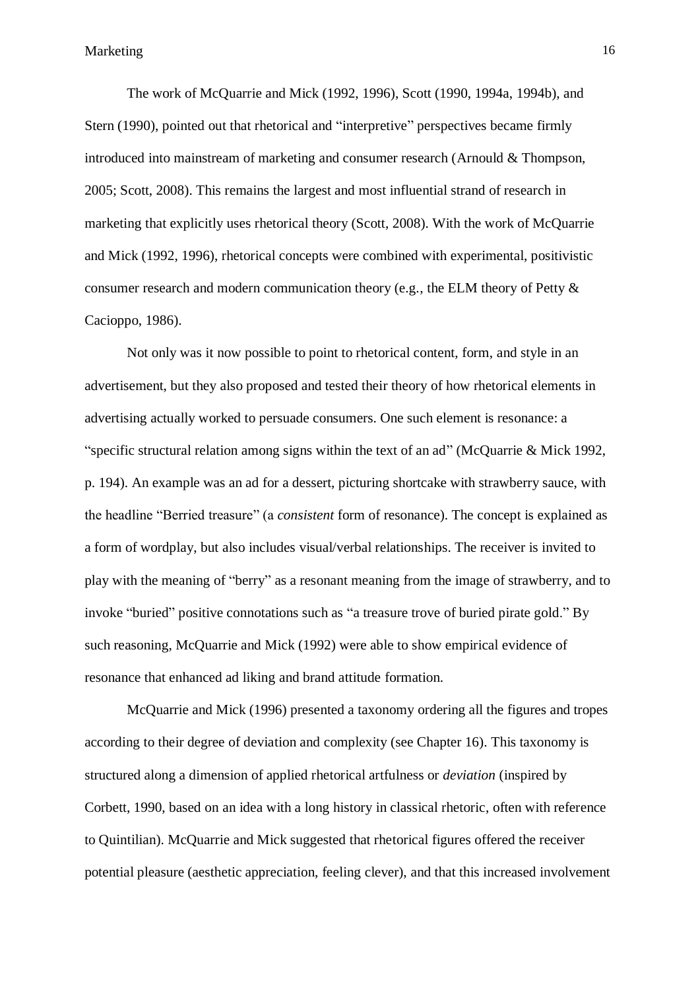The work of McQuarrie and Mick (1992, 1996), Scott (1990, 1994a, 1994b), and Stern (1990), pointed out that rhetorical and "interpretive" perspectives became firmly introduced into mainstream of marketing and consumer research (Arnould & Thompson, 2005; Scott, 2008). This remains the largest and most influential strand of research in marketing that explicitly uses rhetorical theory (Scott, 2008). With the work of McQuarrie and Mick (1992, 1996), rhetorical concepts were combined with experimental, positivistic consumer research and modern communication theory (e.g., the ELM theory of Petty & Cacioppo, 1986).

Not only was it now possible to point to rhetorical content, form, and style in an advertisement, but they also proposed and tested their theory of how rhetorical elements in advertising actually worked to persuade consumers. One such element is resonance: a "specific structural relation among signs within the text of an ad" (McQuarrie & Mick 1992, p. 194). An example was an ad for a dessert, picturing shortcake with strawberry sauce, with the headline "Berried treasure" (a *consistent* form of resonance). The concept is explained as a form of wordplay, but also includes visual/verbal relationships. The receiver is invited to play with the meaning of "berry" as a resonant meaning from the image of strawberry, and to invoke "buried" positive connotations such as "a treasure trove of buried pirate gold." By such reasoning, McQuarrie and Mick (1992) were able to show empirical evidence of resonance that enhanced ad liking and brand attitude formation.

McQuarrie and Mick (1996) presented a taxonomy ordering all the figures and tropes according to their degree of deviation and complexity (see Chapter 16). This taxonomy is structured along a dimension of applied rhetorical artfulness or *deviation* (inspired by Corbett, 1990, based on an idea with a long history in classical rhetoric, often with reference to Quintilian). McQuarrie and Mick suggested that rhetorical figures offered the receiver potential pleasure (aesthetic appreciation, feeling clever), and that this increased involvement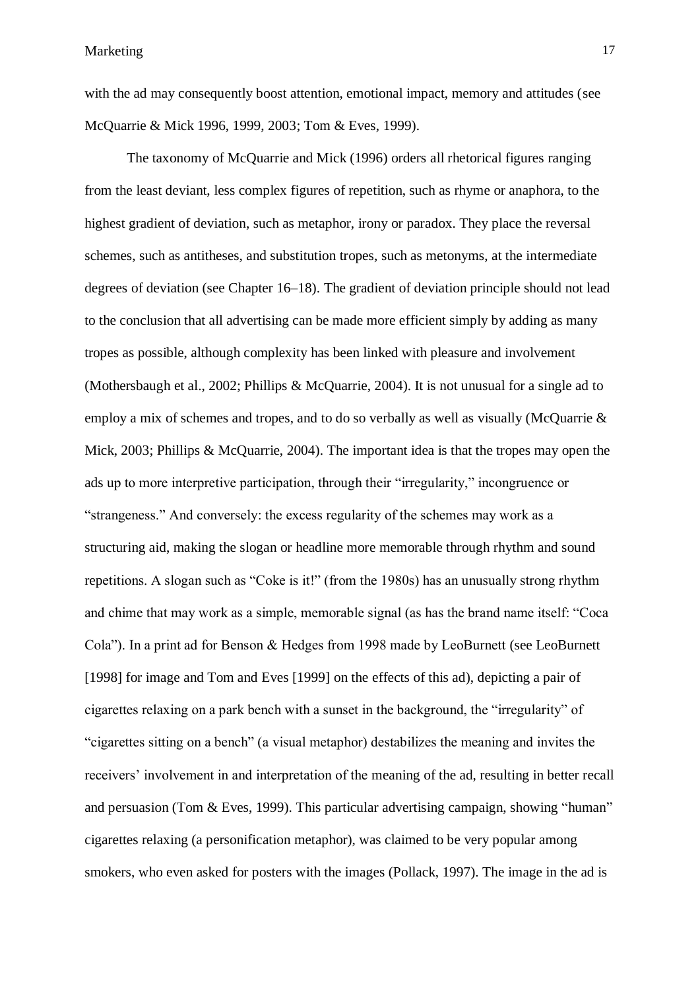with the ad may consequently boost attention, emotional impact, memory and attitudes (see McQuarrie & Mick 1996, 1999, 2003; Tom & Eves, 1999).

The taxonomy of McQuarrie and Mick (1996) orders all rhetorical figures ranging from the least deviant, less complex figures of repetition, such as rhyme or anaphora, to the highest gradient of deviation, such as metaphor, irony or paradox. They place the reversal schemes, such as antitheses, and substitution tropes, such as metonyms, at the intermediate degrees of deviation (see Chapter 16–18). The gradient of deviation principle should not lead to the conclusion that all advertising can be made more efficient simply by adding as many tropes as possible, although complexity has been linked with pleasure and involvement (Mothersbaugh et al., 2002; Phillips & McQuarrie, 2004). It is not unusual for a single ad to employ a mix of schemes and tropes, and to do so verbally as well as visually (McQuarrie  $\&$ Mick, 2003; Phillips & McQuarrie, 2004). The important idea is that the tropes may open the ads up to more interpretive participation, through their "irregularity," incongruence or "strangeness." And conversely: the excess regularity of the schemes may work as a structuring aid, making the slogan or headline more memorable through rhythm and sound repetitions. A slogan such as "Coke is it!" (from the 1980s) has an unusually strong rhythm and chime that may work as a simple, memorable signal (as has the brand name itself: "Coca Cola"). In a print ad for Benson & Hedges from 1998 made by LeoBurnett (see LeoBurnett [1998] for image and Tom and Eves [1999] on the effects of this ad), depicting a pair of cigarettes relaxing on a park bench with a sunset in the background, the "irregularity" of "cigarettes sitting on a bench" (a visual metaphor) destabilizes the meaning and invites the receivers' involvement in and interpretation of the meaning of the ad, resulting in better recall and persuasion (Tom & Eves, 1999). This particular advertising campaign, showing "human" cigarettes relaxing (a personification metaphor), was claimed to be very popular among smokers, who even asked for posters with the images (Pollack, 1997). The image in the ad is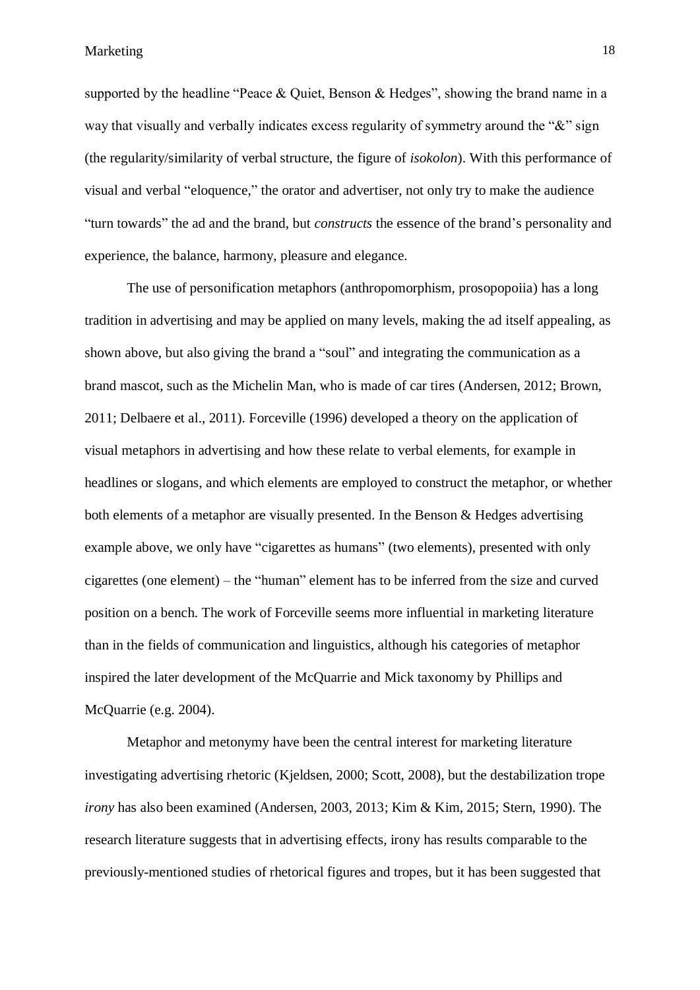supported by the headline "Peace & Quiet, Benson & Hedges", showing the brand name in a way that visually and verbally indicates excess regularity of symmetry around the "&" sign (the regularity/similarity of verbal structure, the figure of *isokolon*). With this performance of visual and verbal "eloquence," the orator and advertiser, not only try to make the audience "turn towards" the ad and the brand, but *constructs* the essence of the brand's personality and experience, the balance, harmony, pleasure and elegance.

The use of personification metaphors (anthropomorphism, prosopopoiia) has a long tradition in advertising and may be applied on many levels, making the ad itself appealing, as shown above, but also giving the brand a "soul" and integrating the communication as a brand mascot, such as the Michelin Man, who is made of car tires (Andersen, 2012; Brown, 2011; Delbaere et al., 2011). Forceville (1996) developed a theory on the application of visual metaphors in advertising and how these relate to verbal elements, for example in headlines or slogans, and which elements are employed to construct the metaphor, or whether both elements of a metaphor are visually presented. In the Benson & Hedges advertising example above, we only have "cigarettes as humans" (two elements), presented with only cigarettes (one element) – the "human" element has to be inferred from the size and curved position on a bench. The work of Forceville seems more influential in marketing literature than in the fields of communication and linguistics, although his categories of metaphor inspired the later development of the McQuarrie and Mick taxonomy by Phillips and McQuarrie (e.g. 2004).

Metaphor and metonymy have been the central interest for marketing literature investigating advertising rhetoric (Kjeldsen, 2000; Scott, 2008), but the destabilization trope *irony* has also been examined (Andersen, 2003, 2013; Kim & Kim, 2015; Stern, 1990). The research literature suggests that in advertising effects, irony has results comparable to the previously-mentioned studies of rhetorical figures and tropes, but it has been suggested that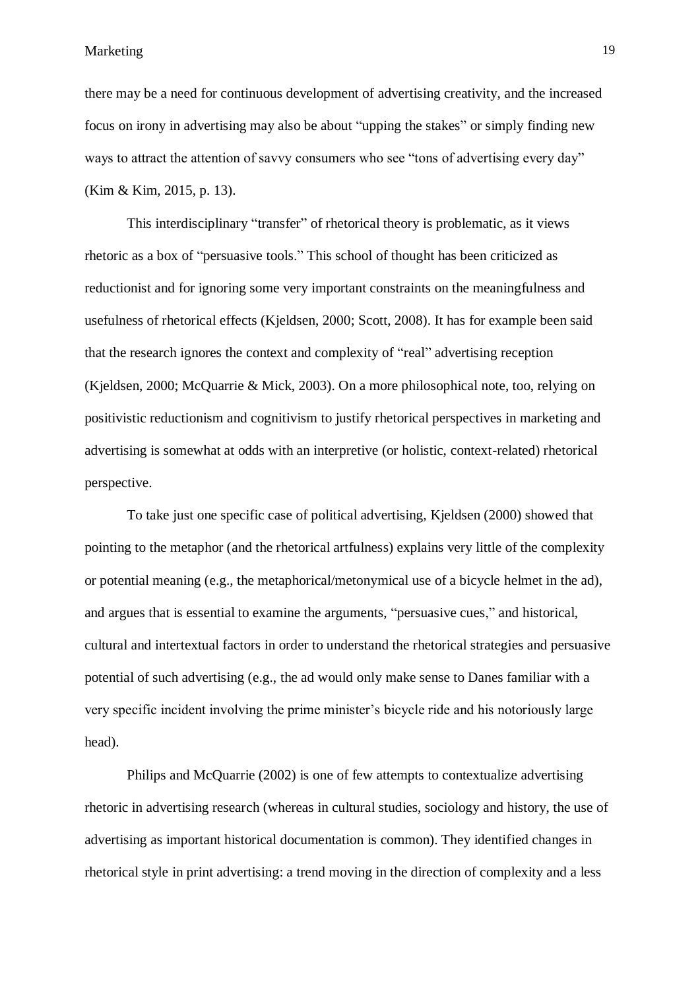there may be a need for continuous development of advertising creativity, and the increased focus on irony in advertising may also be about "upping the stakes" or simply finding new ways to attract the attention of savvy consumers who see "tons of advertising every day" (Kim & Kim, 2015, p. 13).

This interdisciplinary "transfer" of rhetorical theory is problematic, as it views rhetoric as a box of "persuasive tools." This school of thought has been criticized as reductionist and for ignoring some very important constraints on the meaningfulness and usefulness of rhetorical effects (Kjeldsen, 2000; Scott, 2008). It has for example been said that the research ignores the context and complexity of "real" advertising reception (Kjeldsen, 2000; McQuarrie & Mick, 2003). On a more philosophical note, too, relying on positivistic reductionism and cognitivism to justify rhetorical perspectives in marketing and advertising is somewhat at odds with an interpretive (or holistic, context-related) rhetorical perspective.

To take just one specific case of political advertising, Kjeldsen (2000) showed that pointing to the metaphor (and the rhetorical artfulness) explains very little of the complexity or potential meaning (e.g., the metaphorical/metonymical use of a bicycle helmet in the ad), and argues that is essential to examine the arguments, "persuasive cues," and historical, cultural and intertextual factors in order to understand the rhetorical strategies and persuasive potential of such advertising (e.g., the ad would only make sense to Danes familiar with a very specific incident involving the prime minister's bicycle ride and his notoriously large head).

Philips and McQuarrie (2002) is one of few attempts to contextualize advertising rhetoric in advertising research (whereas in cultural studies, sociology and history, the use of advertising as important historical documentation is common). They identified changes in rhetorical style in print advertising: a trend moving in the direction of complexity and a less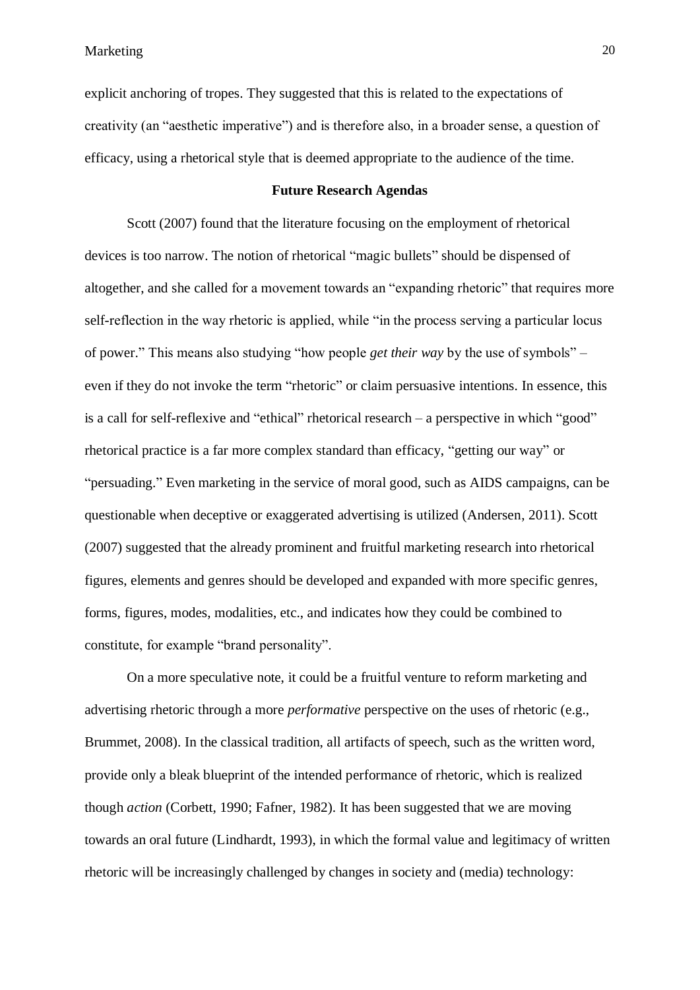explicit anchoring of tropes. They suggested that this is related to the expectations of creativity (an "aesthetic imperative") and is therefore also, in a broader sense, a question of efficacy, using a rhetorical style that is deemed appropriate to the audience of the time.

### **Future Research Agendas**

Scott (2007) found that the literature focusing on the employment of rhetorical devices is too narrow. The notion of rhetorical "magic bullets" should be dispensed of altogether, and she called for a movement towards an "expanding rhetoric" that requires more self-reflection in the way rhetoric is applied, while "in the process serving a particular locus of power." This means also studying "how people *get their way* by the use of symbols" – even if they do not invoke the term "rhetoric" or claim persuasive intentions. In essence, this is a call for self-reflexive and "ethical" rhetorical research – a perspective in which "good" rhetorical practice is a far more complex standard than efficacy, "getting our way" or "persuading." Even marketing in the service of moral good, such as AIDS campaigns, can be questionable when deceptive or exaggerated advertising is utilized (Andersen, 2011). Scott (2007) suggested that the already prominent and fruitful marketing research into rhetorical figures, elements and genres should be developed and expanded with more specific genres, forms, figures, modes, modalities, etc., and indicates how they could be combined to constitute, for example "brand personality".

On a more speculative note, it could be a fruitful venture to reform marketing and advertising rhetoric through a more *performative* perspective on the uses of rhetoric (e.g., Brummet, 2008). In the classical tradition, all artifacts of speech, such as the written word, provide only a bleak blueprint of the intended performance of rhetoric, which is realized though *action* (Corbett, 1990; Fafner, 1982). It has been suggested that we are moving towards an oral future (Lindhardt, 1993), in which the formal value and legitimacy of written rhetoric will be increasingly challenged by changes in society and (media) technology: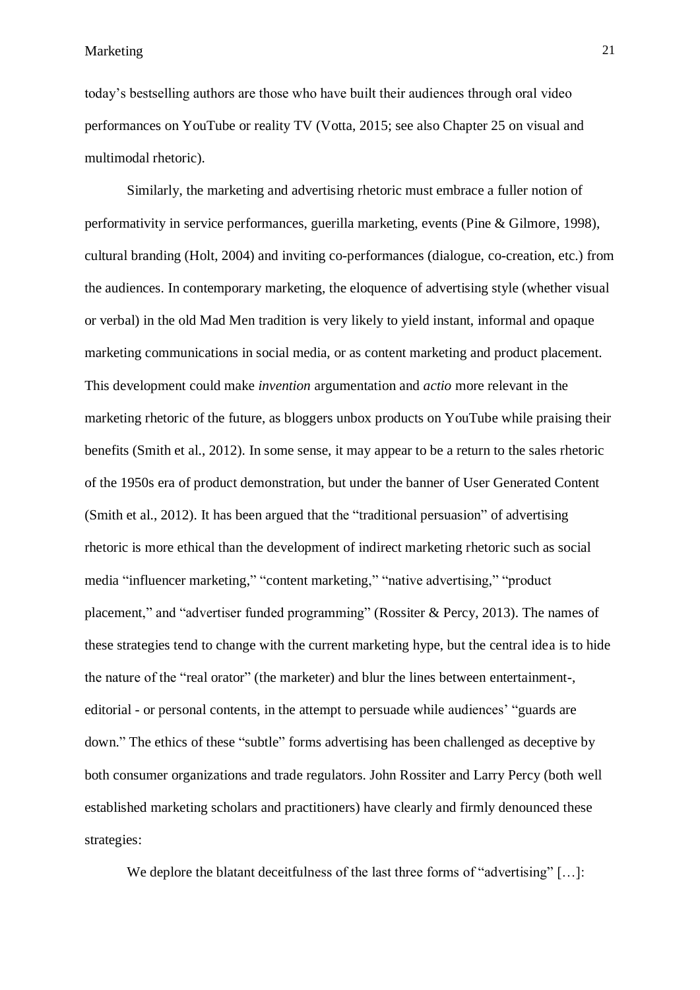today's bestselling authors are those who have built their audiences through oral video performances on YouTube or reality TV (Votta, 2015; see also Chapter 25 on visual and multimodal rhetoric).

Similarly, the marketing and advertising rhetoric must embrace a fuller notion of performativity in service performances, guerilla marketing, events (Pine & Gilmore, 1998), cultural branding (Holt, 2004) and inviting co-performances (dialogue, co-creation, etc.) from the audiences. In contemporary marketing, the eloquence of advertising style (whether visual or verbal) in the old Mad Men tradition is very likely to yield instant, informal and opaque marketing communications in social media, or as content marketing and product placement. This development could make *invention* argumentation and *actio* more relevant in the marketing rhetoric of the future, as bloggers unbox products on YouTube while praising their benefits (Smith et al., 2012). In some sense, it may appear to be a return to the sales rhetoric of the 1950s era of product demonstration, but under the banner of User Generated Content (Smith et al., 2012). It has been argued that the "traditional persuasion" of advertising rhetoric is more ethical than the development of indirect marketing rhetoric such as social media "influencer marketing," "content marketing," "native advertising," "product placement," and "advertiser funded programming" (Rossiter & Percy, 2013). The names of these strategies tend to change with the current marketing hype, but the central idea is to hide the nature of the "real orator" (the marketer) and blur the lines between entertainment-, editorial - or personal contents, in the attempt to persuade while audiences' "guards are down." The ethics of these "subtle" forms advertising has been challenged as deceptive by both consumer organizations and trade regulators. John Rossiter and Larry Percy (both well established marketing scholars and practitioners) have clearly and firmly denounced these strategies:

We deplore the blatant deceitfulness of the last three forms of "advertising" [...]: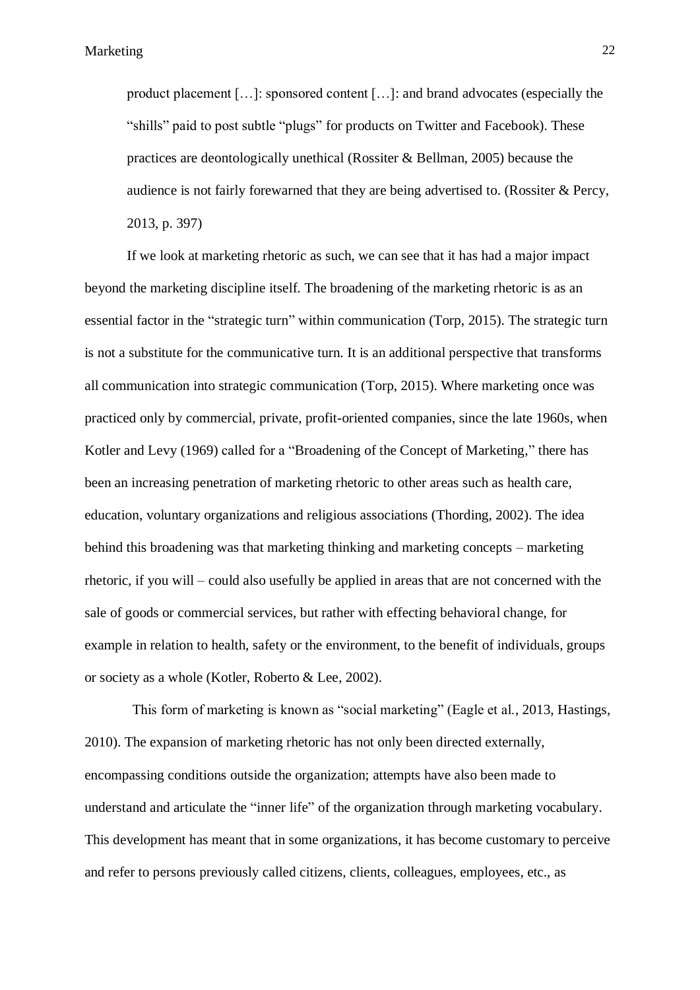product placement […]: sponsored content […]: and brand advocates (especially the "shills" paid to post subtle "plugs" for products on Twitter and Facebook). These practices are deontologically unethical (Rossiter & Bellman, 2005) because the audience is not fairly forewarned that they are being advertised to. (Rossiter & Percy, 2013, p. 397)

If we look at marketing rhetoric as such, we can see that it has had a major impact beyond the marketing discipline itself. The broadening of the marketing rhetoric is as an essential factor in the "strategic turn" within communication (Torp, 2015). The strategic turn is not a substitute for the communicative turn. It is an additional perspective that transforms all communication into strategic communication (Torp, 2015). Where marketing once was practiced only by commercial, private, profit-oriented companies, since the late 1960s, when Kotler and Levy (1969) called for a "Broadening of the Concept of Marketing," there has been an increasing penetration of marketing rhetoric to other areas such as health care, education, voluntary organizations and religious associations (Thording, 2002). The idea behind this broadening was that marketing thinking and marketing concepts – marketing rhetoric, if you will – could also usefully be applied in areas that are not concerned with the sale of goods or commercial services, but rather with effecting behavioral change, for example in relation to health, safety or the environment, to the benefit of individuals, groups or society as a whole (Kotler, Roberto & Lee, 2002).

This form of marketing is known as "social marketing" (Eagle et al., 2013, Hastings, 2010). The expansion of marketing rhetoric has not only been directed externally, encompassing conditions outside the organization; attempts have also been made to understand and articulate the "inner life" of the organization through marketing vocabulary. This development has meant that in some organizations, it has become customary to perceive and refer to persons previously called citizens, clients, colleagues, employees, etc., as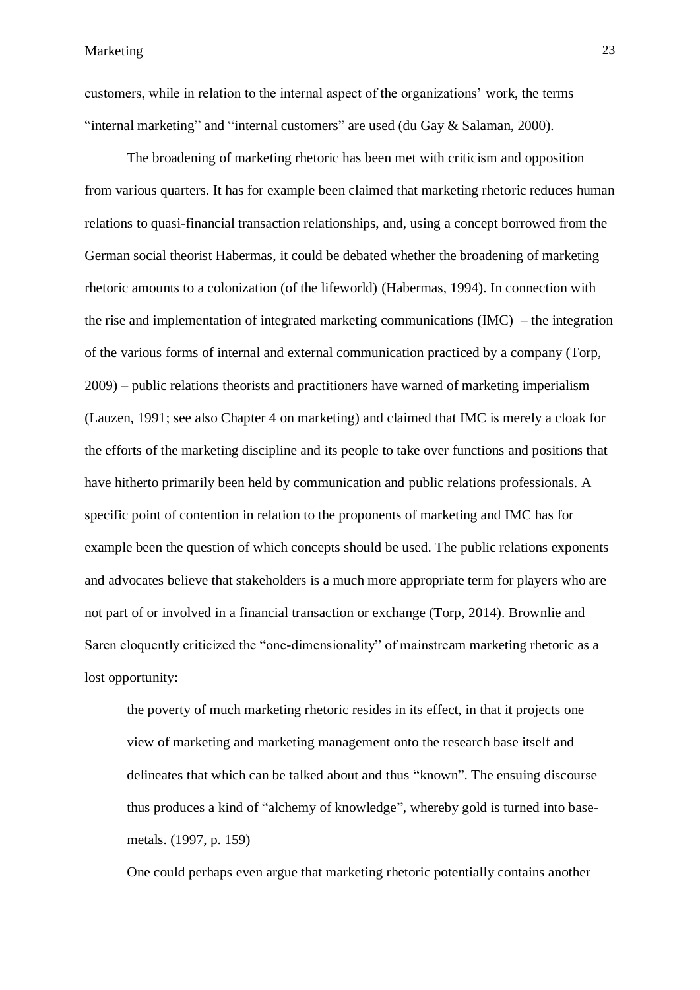customers, while in relation to the internal aspect of the organizations' work, the terms "internal marketing" and "internal customers" are used (du Gay & Salaman, 2000).

The broadening of marketing rhetoric has been met with criticism and opposition from various quarters. It has for example been claimed that marketing rhetoric reduces human relations to quasi-financial transaction relationships, and, using a concept borrowed from the German social theorist Habermas, it could be debated whether the broadening of marketing rhetoric amounts to a colonization (of the lifeworld) (Habermas, 1994). In connection with the rise and implementation of integrated marketing communications (IMC) – the integration of the various forms of internal and external communication practiced by a company (Torp, 2009) – public relations theorists and practitioners have warned of marketing imperialism (Lauzen, 1991; see also Chapter 4 on marketing) and claimed that IMC is merely a cloak for the efforts of the marketing discipline and its people to take over functions and positions that have hitherto primarily been held by communication and public relations professionals. A specific point of contention in relation to the proponents of marketing and IMC has for example been the question of which concepts should be used. The public relations exponents and advocates believe that stakeholders is a much more appropriate term for players who are not part of or involved in a financial transaction or exchange (Torp, 2014). Brownlie and Saren eloquently criticized the "one-dimensionality" of mainstream marketing rhetoric as a lost opportunity:

the poverty of much marketing rhetoric resides in its effect, in that it projects one view of marketing and marketing management onto the research base itself and delineates that which can be talked about and thus "known". The ensuing discourse thus produces a kind of "alchemy of knowledge", whereby gold is turned into basemetals. (1997, p. 159)

One could perhaps even argue that marketing rhetoric potentially contains another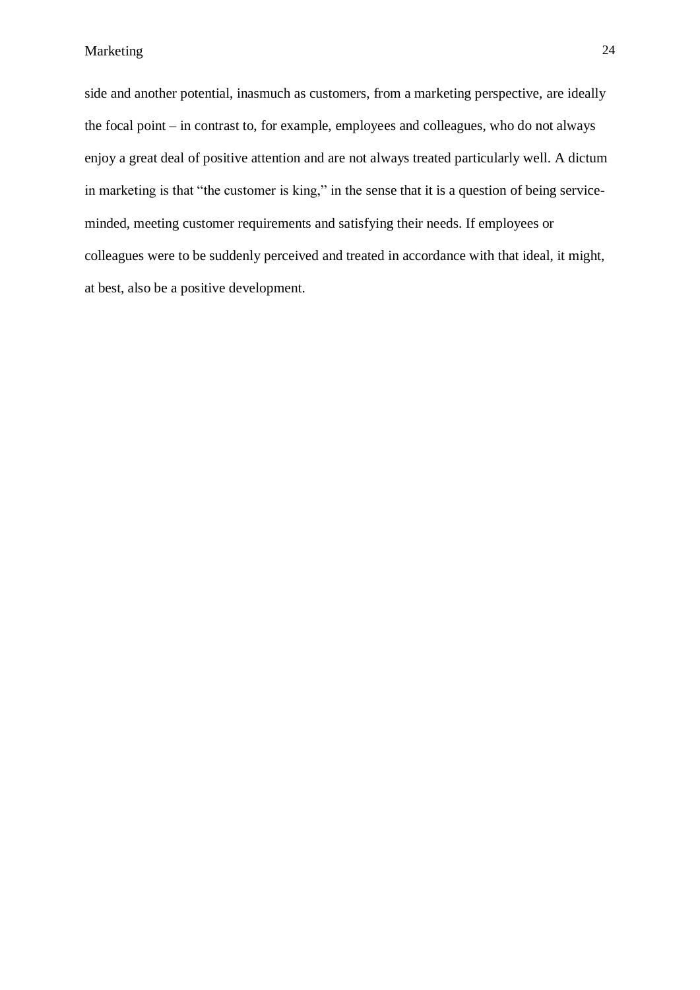side and another potential, inasmuch as customers, from a marketing perspective, are ideally the focal point – in contrast to, for example, employees and colleagues, who do not always enjoy a great deal of positive attention and are not always treated particularly well. A dictum in marketing is that "the customer is king," in the sense that it is a question of being serviceminded, meeting customer requirements and satisfying their needs. If employees or colleagues were to be suddenly perceived and treated in accordance with that ideal, it might, at best, also be a positive development.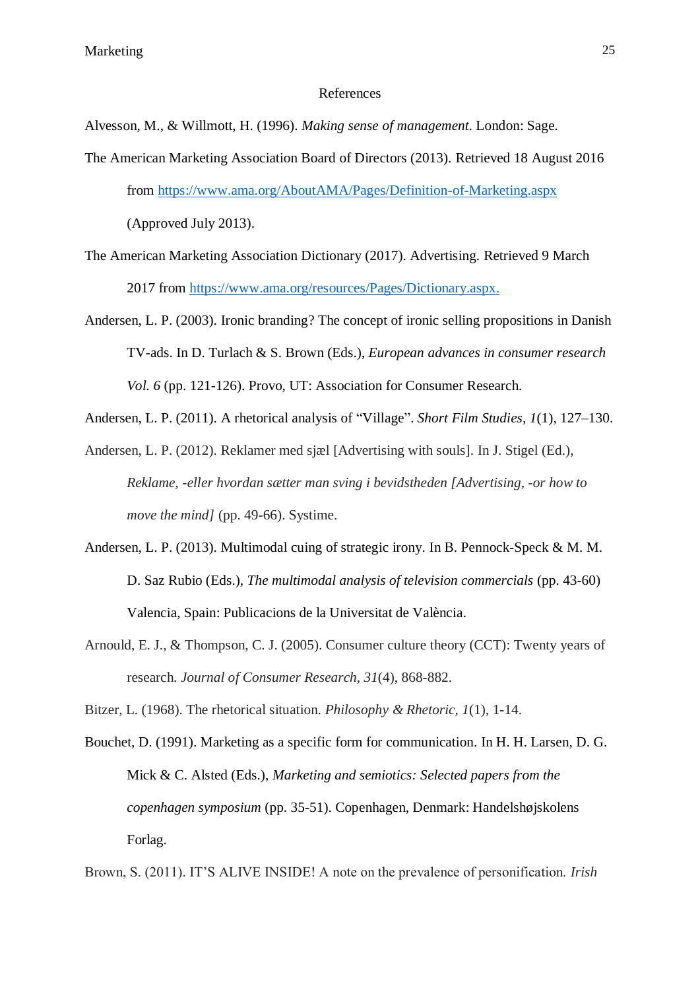#### References

Alvesson, M., & Willmott, H. (1996). *Making sense of management*. London: Sage.

- The American Marketing Association Board of Directors (2013). Retrieved 18 August 2016 from<https://www.ama.org/AboutAMA/Pages/Definition-of-Marketing.aspx> (Approved July 2013).
- The American Marketing Association Dictionary (2017). Advertising. Retrieved 9 March 2017 from [https://www.ama.org/resources/Pages/Dictionary.aspx.](https://www.ama.org/resources/Pages/Dictionary.aspx)
- Andersen, L. P. (2003). Ironic branding? The concept of ironic selling propositions in Danish TV-ads. In D. Turlach & S. Brown (Eds.), *European advances in consumer research Vol. 6* (pp. 121-126). Provo, UT: Association for Consumer Research.
- Andersen, L. P. (2011). A rhetorical analysis of "Village". *Short Film Studies, 1*(1), 127–130.
- Andersen, L. P. (2012). Reklamer med sjæl [Advertising with souls]. In J. Stigel (Ed.), *Reklame, -eller hvordan sætter man sving i bevidstheden [Advertising, -or how to move the mind]* (pp. 49-66). Systime.
- Andersen, L. P. (2013). Multimodal cuing of strategic irony. In B. Pennock-Speck & M. M. D. Saz Rubio (Eds.), *The multimodal analysis of television commercials* (pp. 43-60) Valencia, Spain: Publicacions de la Universitat de València.
- Arnould, E. J., & Thompson, C. J. (2005). Consumer culture theory (CCT): Twenty years of research. *Journal of Consumer Research*, *31*(4), 868-882.
- Bitzer, L. (1968). The rhetorical situation. *Philosophy & Rhetoric, 1*(1), 1-14.
- Bouchet, D. (1991). Marketing as a specific form for communication. In H. H. Larsen, D. G. Mick & C. Alsted (Eds.), *Marketing and semiotics: Selected papers from the copenhagen symposium* (pp. 35-51). Copenhagen, Denmark: Handelshøjskolens Forlag.

Brown, S. (2011). IT'S ALIVE INSIDE! A note on the prevalence of personification. *Irish*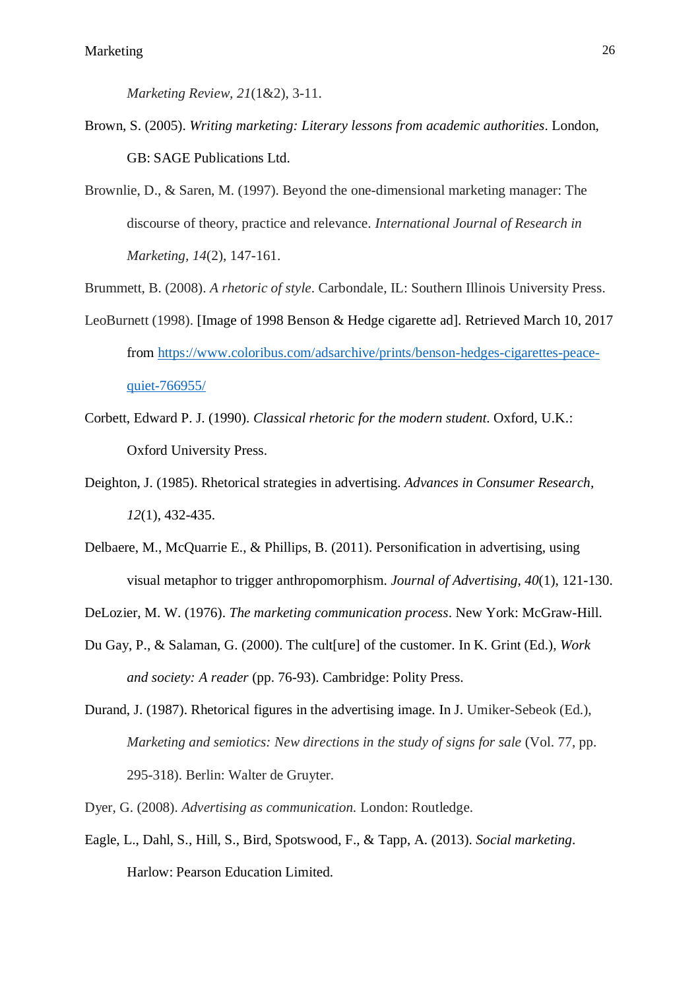*Marketing Review, 21*(1&2), 3-11.

- Brown, S. (2005). *Writing marketing: Literary lessons from academic authorities*. London, GB: SAGE Publications Ltd.
- Brownlie, D., & Saren, M. (1997). Beyond the one-dimensional marketing manager: The discourse of theory, practice and relevance. *International Journal of Research in Marketing, 14*(2), 147-161.

Brummett, B. (2008). *A rhetoric of style*. Carbondale, IL: Southern Illinois University Press.

- LeoBurnett (1998). [Image of 1998 Benson & Hedge cigarette ad]. Retrieved March 10, 2017 from [https://www.coloribus.com/adsarchive/prints/benson-hedges-cigarettes-peace](https://www.coloribus.com/adsarchive/prints/benson-hedges-cigarettes-peace-quiet-766955/)[quiet-766955/](https://www.coloribus.com/adsarchive/prints/benson-hedges-cigarettes-peace-quiet-766955/)
- Corbett, Edward P. J. (1990). *Classical rhetoric for the modern student*. Oxford, U.K.: Oxford University Press.
- Deighton, J. (1985). Rhetorical strategies in advertising. *Advances in Consumer Research, 12*(1), 432-435.
- Delbaere, M., McQuarrie E., & Phillips, B. (2011). Personification in advertising, using visual metaphor to trigger anthropomorphism. *Journal of Advertising*, *40*(1), 121-130.
- DeLozier, M. W. (1976). *The marketing communication process*. New York: McGraw-Hill.
- Du Gay, P., & Salaman, G. (2000). The cult[ure] of the customer. In K. Grint (Ed.), *Work and society: A reader* (pp. 76-93). Cambridge: Polity Press.
- Durand, J. (1987). Rhetorical figures in the advertising image. In J. Umiker-Sebeok (Ed.), *Marketing and semiotics: New directions in the study of signs for sale* (Vol. 77, pp. 295-318). Berlin: Walter de Gruyter.
- Dyer, G. (2008). *Advertising as communication.* London: Routledge.
- Eagle, L., Dahl, S., Hill, S., Bird, Spotswood, F., & Tapp, A. (2013). *Social marketing*. Harlow: Pearson Education Limited.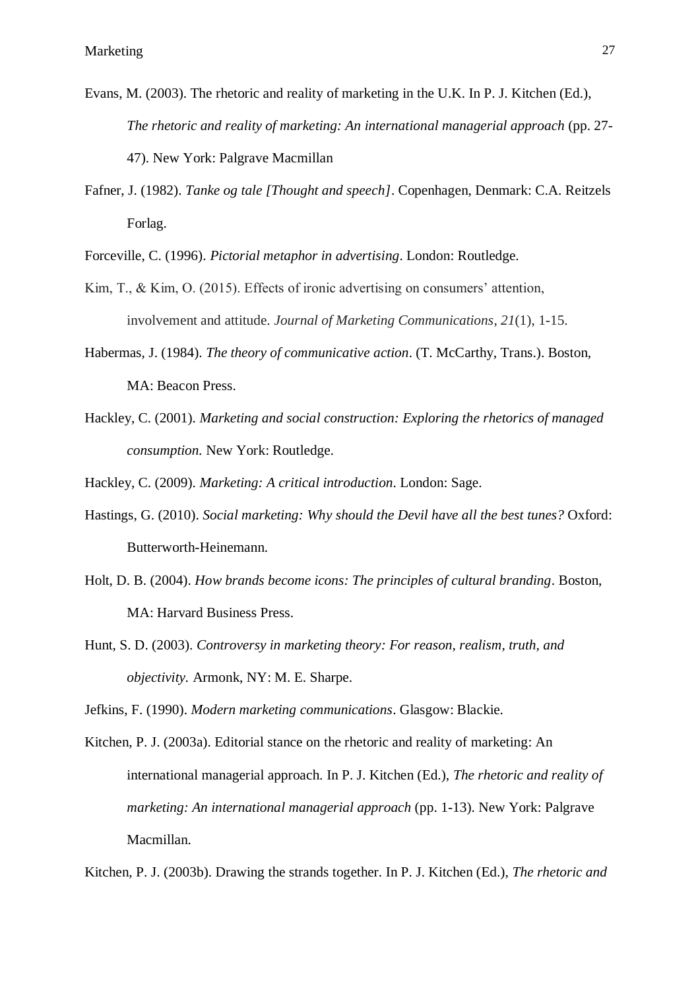- Evans, M. (2003). The rhetoric and reality of marketing in the U.K. In P. J. Kitchen (Ed.), *The rhetoric and reality of marketing: An international managerial approach (pp. 27-*47). New York: Palgrave Macmillan
- Fafner, J. (1982). *Tanke og tale [Thought and speech]*. Copenhagen, Denmark: C.A. Reitzels Forlag.
- Forceville, C. (1996). *Pictorial metaphor in advertising*. London: Routledge.
- Kim, T., & Kim, O. (2015). Effects of ironic advertising on consumers' attention, involvement and attitude. *Journal of Marketing Communications*, *21*(1), 1-15.
- Habermas, J. (1984). *The theory of communicative action*. (T. McCarthy, Trans.). Boston, MA: Beacon Press.
- Hackley, C. (2001). *Marketing and social construction: Exploring the rhetorics of managed consumption.* New York: Routledge.

Hackley, C. (2009). *Marketing: A critical introduction*. London: Sage.

- Hastings, G. (2010). *Social marketing: Why should the Devil have all the best tunes?* Oxford: Butterworth-Heinemann.
- Holt, D. B. (2004). *How brands become icons: The principles of cultural branding*. Boston, MA: Harvard Business Press.
- Hunt, S. D. (2003). *Controversy in marketing theory: For reason, realism, truth, and objectivity.* Armonk, NY: M. E. Sharpe.

Jefkins, F. (1990). *Modern marketing communications*. Glasgow: Blackie.

Kitchen, P. J. (2003a). Editorial stance on the rhetoric and reality of marketing: An international managerial approach. In P. J. Kitchen (Ed.), *The rhetoric and reality of marketing: An international managerial approach* (pp. 1-13). New York: Palgrave Macmillan.

Kitchen, P. J. (2003b). Drawing the strands together. In P. J. Kitchen (Ed.), *The rhetoric and*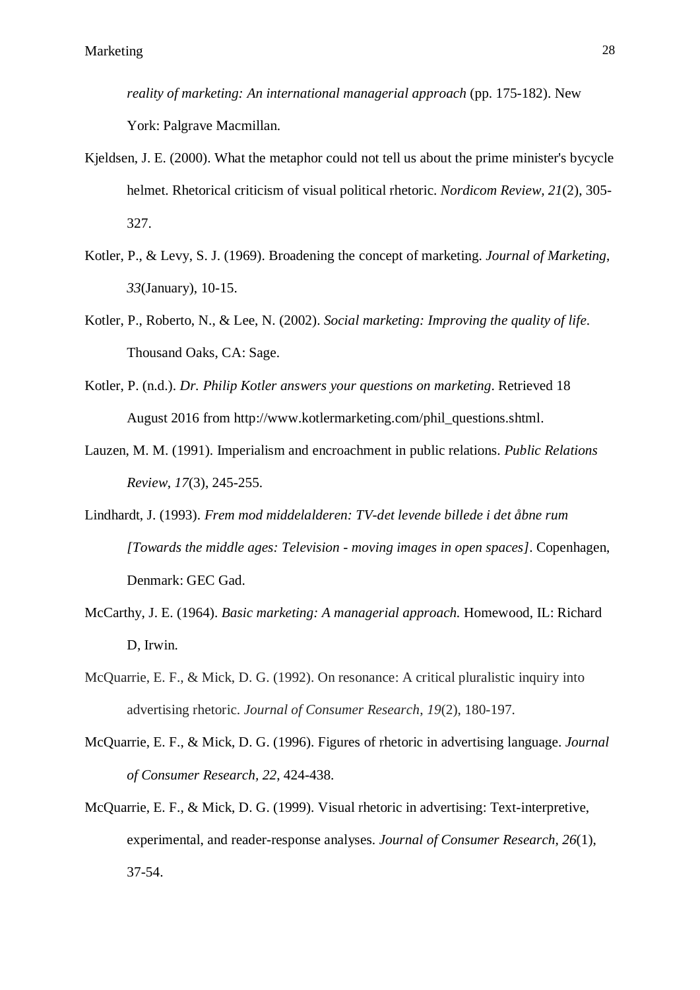*reality of marketing: An international managerial approach (pp. 175-182). New* York: Palgrave Macmillan.

- Kjeldsen, J. E. (2000). What the metaphor could not tell us about the prime minister's bycycle helmet. Rhetorical criticism of visual political rhetoric. *Nordicom Review, 21*(2), 305- 327.
- Kotler, P., & Levy, S. J. (1969). Broadening the concept of marketing. *Journal of Marketing*, *33*(January), 10-15.
- Kotler, P., Roberto, N., & Lee, N. (2002). *Social marketing: Improving the quality of life*. Thousand Oaks, CA: Sage.
- Kotler, P. (n.d.). *Dr. Philip Kotler answers your questions on marketing*. Retrieved 18 August 2016 from http://www.kotlermarketing.com/phil\_questions.shtml.
- Lauzen, M. M. (1991). Imperialism and encroachment in public relations. *Public Relations Review*, *17*(3), 245-255.
- Lindhardt, J. (1993). *Frem mod middelalderen: TV-det levende billede i det åbne rum [Towards the middle ages: Television - moving images in open spaces]*. Copenhagen, Denmark: GEC Gad.
- McCarthy, J. E. (1964). *Basic marketing: A managerial approach.* Homewood, IL: Richard D, Irwin.
- McQuarrie, E. F., & Mick, D. G. (1992). On resonance: A critical pluralistic inquiry into advertising rhetoric. *Journal of Consumer Research*, *19*(2), 180-197.
- McQuarrie, E. F., & Mick, D. G. (1996). Figures of rhetoric in advertising language. *Journal of Consumer Research, 22*, 424-438.
- McQuarrie, E. F., & Mick, D. G. (1999). Visual rhetoric in advertising: Text-interpretive, experimental, and reader-response analyses. *Journal of Consumer Research, 26*(1), 37-54.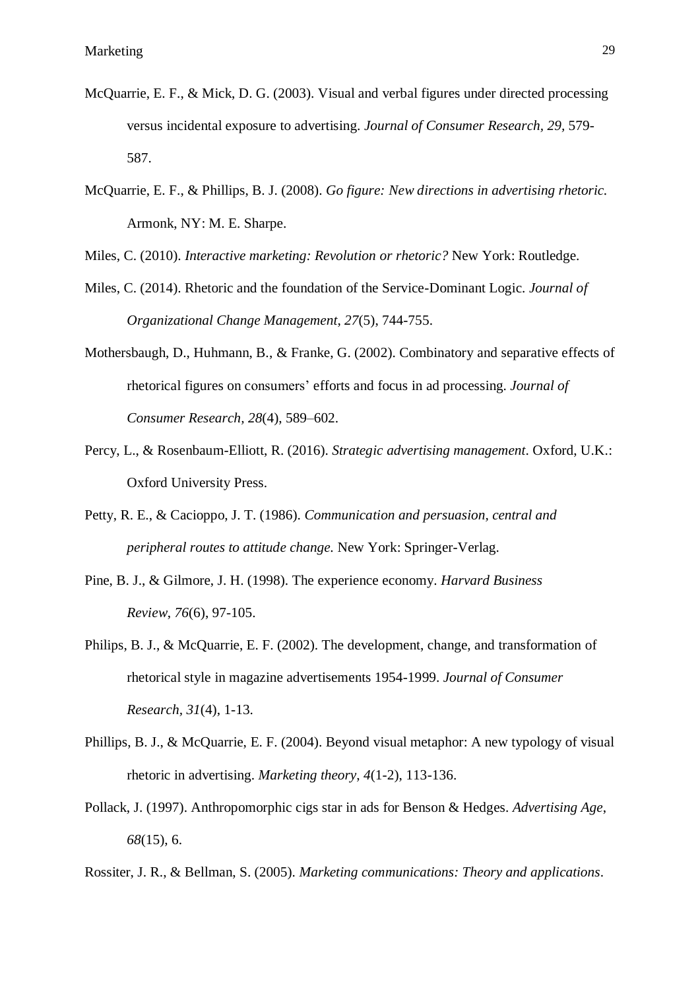- McQuarrie, E. F., & Mick, D. G. (2003). Visual and verbal figures under directed processing versus incidental exposure to advertising. *Journal of Consumer Research, 29,* 579- 587.
- McQuarrie, E. F., & Phillips, B. J. (2008). *Go figure: New directions in advertising rhetoric.* Armonk, NY: M. E. Sharpe.

Miles, C. (2010). *Interactive marketing: Revolution or rhetoric?* New York: Routledge.

- Miles, C. (2014). Rhetoric and the foundation of the Service-Dominant Logic. *Journal of Organizational Change Management*, *27*(5), 744-755.
- Mothersbaugh, D., Huhmann, B., & Franke, G. (2002). Combinatory and separative effects of rhetorical figures on consumers' efforts and focus in ad processing. *Journal of Consumer Research, 28*(4), 589–602.
- Percy, L., & Rosenbaum-Elliott, R. (2016). *Strategic advertising management*. Oxford, U.K.: Oxford University Press.
- Petty, R. E., & Cacioppo, J. T. (1986). *Communication and persuasion, central and peripheral routes to attitude change.* New York: Springer-Verlag.
- Pine, B. J., & Gilmore, J. H. (1998). The experience economy. *Harvard Business Review*, *76*(6), 97-105.
- Philips, B. J., & McQuarrie, E. F. (2002). The development, change, and transformation of rhetorical style in magazine advertisements 1954-1999. *Journal of Consumer Research, 31*(4), 1-13.
- Phillips, B. J., & McQuarrie, E. F. (2004). Beyond visual metaphor: A new typology of visual rhetoric in advertising. *Marketing theory*, *4*(1-2), 113-136.
- Pollack, J. (1997). Anthropomorphic cigs star in ads for Benson & Hedges. *Advertising Age*, *68*(15), 6.
- Rossiter, J. R., & Bellman, S. (2005). *Marketing communications: Theory and applications*.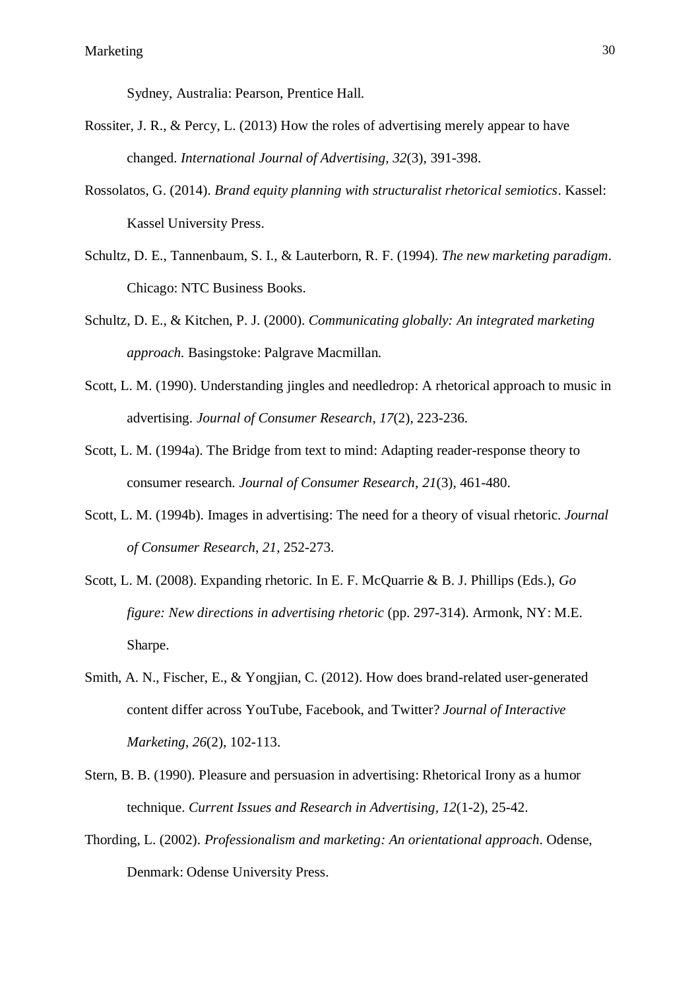Sydney, Australia: Pearson, Prentice Hall.

- Rossiter, J. R., & Percy, L. (2013) How the roles of advertising merely appear to have changed. *International Journal of Advertising, 32*(3), 391-398.
- Rossolatos, G. (2014). *Brand equity planning with structuralist rhetorical semiotics*. Kassel: Kassel University Press.
- Schultz, D. E., Tannenbaum, S. I., & Lauterborn, R. F. (1994). *The new marketing paradigm*. Chicago: NTC Business Books.
- Schultz, D. E., & Kitchen, P. J. (2000). *Communicating globally: An integrated marketing approach.* Basingstoke: Palgrave Macmillan*.*
- Scott, L. M. (1990). Understanding jingles and needledrop: A rhetorical approach to music in advertising. *Journal of Consumer Research*, *17*(2), 223-236.
- Scott, L. M. (1994a). The Bridge from text to mind: Adapting reader-response theory to consumer research. *Journal of Consumer Research, 21*(3), 461-480.
- Scott, L. M. (1994b). Images in advertising: The need for a theory of visual rhetoric. *Journal of Consumer Research*, *21*, 252-273.
- Scott, L. M. (2008). Expanding rhetoric. In E. F. McQuarrie & B. J. Phillips (Eds.), *Go figure: New directions in advertising rhetoric* (pp. 297-314). Armonk, NY: M.E. Sharpe.
- Smith, A. N., Fischer, E., & Yongjian, C. (2012). How does brand-related user-generated content differ across YouTube, Facebook, and Twitter? *Journal of Interactive Marketing*, *26*(2), 102-113.
- Stern, B. B. (1990). Pleasure and persuasion in advertising: Rhetorical Irony as a humor technique. *Current Issues and Research in Advertising, 12*(1-2), 25-42.
- Thording, L. (2002). *Professionalism and marketing: An orientational approach*. Odense, Denmark: Odense University Press.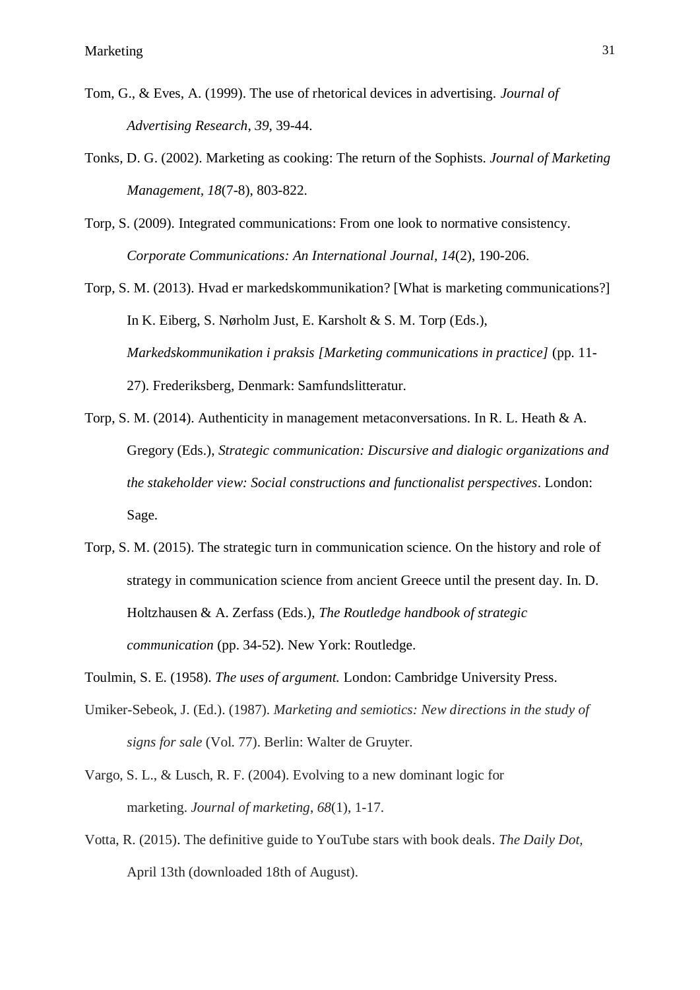- Tom, G., & Eves, A. (1999). The use of rhetorical devices in advertising. *Journal of Advertising Research*, *39*, 39-44.
- Tonks, D. G. (2002). Marketing as cooking: The return of the Sophists. *Journal of Marketing Management, 18*(7-8), 803-822.
- Torp, S. (2009). Integrated communications: From one look to normative consistency. *Corporate Communications: An International Journal, 14*(2), 190-206.
- Torp, S. M. (2013). Hvad er markedskommunikation? [What is marketing communications?] In K. Eiberg, S. Nørholm Just, E. Karsholt & S. M. Torp (Eds.), *Markedskommunikation i praksis [Marketing communications in practice]* (pp. 11- 27). Frederiksberg, Denmark: Samfundslitteratur.
- Torp, S. M. (2014). Authenticity in management metaconversations. In R. L. Heath & A. Gregory (Eds.), *Strategic communication: Discursive and dialogic organizations and the stakeholder view: Social constructions and functionalist perspectives*. London: Sage.
- Torp, S. M. (2015). The strategic turn in communication science. On the history and role of strategy in communication science from ancient Greece until the present day. In. D. Holtzhausen & A. Zerfass (Eds.), *The Routledge handbook of strategic communication* (pp. 34-52). New York: Routledge.
- Toulmin, S. E. (1958). *The uses of argument.* London: Cambridge University Press.
- Umiker-Sebeok, J. (Ed.). (1987). *Marketing and semiotics: New directions in the study of signs for sale* (Vol. 77). Berlin: Walter de Gruyter.
- Vargo, S. L., & Lusch, R. F. (2004). Evolving to a new dominant logic for marketing. *Journal of marketing*, *68*(1), 1-17.
- Votta, R. (2015). The definitive guide to YouTube stars with book deals. *The Daily Dot,*  April 13th (downloaded 18th of August).